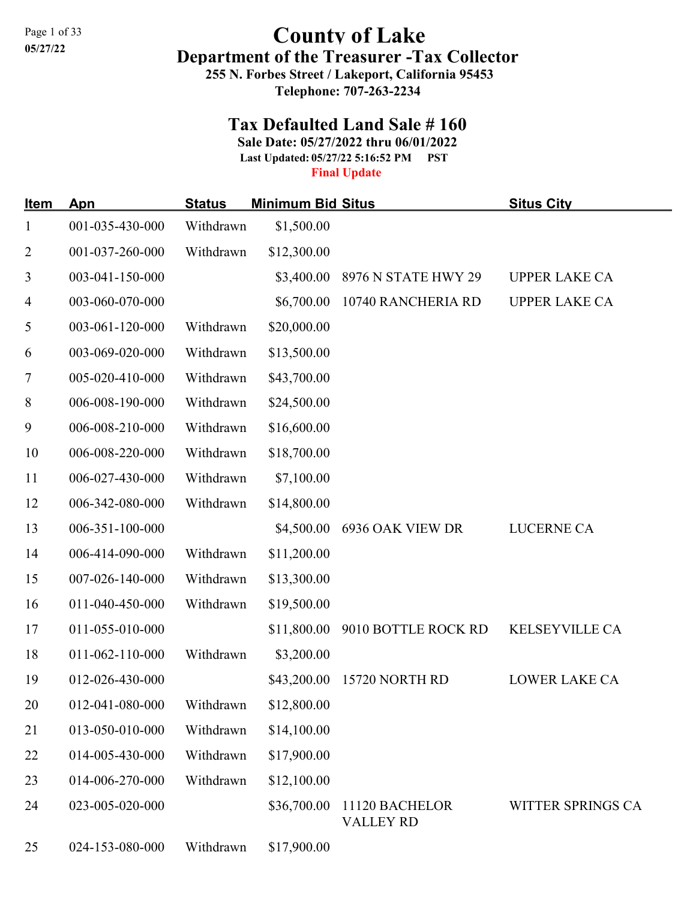## Page 1 of 33<br>05/27/22<br> $\begin{array}{ccc}\n\text{O} & \text{C} & \text{C} \\
\text{C} & \text{C} & \text{C} & \text{C} \\
\text{C} & \text{D} & \text{D} & \text{D}\n\end{array}$ Department of the Treasurer -Tax Collector 255 N. Forbes Street / Lakeport, California 95453

Telephone: 707-263-2234

## Tax Defaulted Land Sale # 160

Sale Date: 05/27/2022 thru 06/01/2022

Last Updated: 05/27/22 5:16:52 PM PST

## Final Update

| <u>Item</u>    | Apn             | <b>Status</b> | <b>Minimum Bid Situs</b> |                                    | <b>Situs City</b>     |
|----------------|-----------------|---------------|--------------------------|------------------------------------|-----------------------|
| $\mathbf{1}$   | 001-035-430-000 | Withdrawn     | \$1,500.00               |                                    |                       |
| $\overline{2}$ | 001-037-260-000 | Withdrawn     | \$12,300.00              |                                    |                       |
| 3              | 003-041-150-000 |               | \$3,400.00               | 8976 N STATE HWY 29                | <b>UPPER LAKE CA</b>  |
| 4              | 003-060-070-000 |               | \$6,700.00               | 10740 RANCHERIA RD                 | <b>UPPER LAKE CA</b>  |
| $\mathfrak{S}$ | 003-061-120-000 | Withdrawn     | \$20,000.00              |                                    |                       |
| 6              | 003-069-020-000 | Withdrawn     | \$13,500.00              |                                    |                       |
| $\tau$         | 005-020-410-000 | Withdrawn     | \$43,700.00              |                                    |                       |
| 8              | 006-008-190-000 | Withdrawn     | \$24,500.00              |                                    |                       |
| 9              | 006-008-210-000 | Withdrawn     | \$16,600.00              |                                    |                       |
| 10             | 006-008-220-000 | Withdrawn     | \$18,700.00              |                                    |                       |
| 11             | 006-027-430-000 | Withdrawn     | \$7,100.00               |                                    |                       |
| 12             | 006-342-080-000 | Withdrawn     | \$14,800.00              |                                    |                       |
| 13             | 006-351-100-000 |               | \$4,500.00               | 6936 OAK VIEW DR                   | <b>LUCERNE CA</b>     |
| 14             | 006-414-090-000 | Withdrawn     | \$11,200.00              |                                    |                       |
| 15             | 007-026-140-000 | Withdrawn     | \$13,300.00              |                                    |                       |
| 16             | 011-040-450-000 | Withdrawn     | \$19,500.00              |                                    |                       |
| 17             | 011-055-010-000 |               |                          | \$11,800.00 9010 BOTTLE ROCK RD    | <b>KELSEYVILLE CA</b> |
| 18             | 011-062-110-000 | Withdrawn     | \$3,200.00               |                                    |                       |
| 19             | 012-026-430-000 |               |                          | \$43,200.00 15720 NORTH RD         | <b>LOWER LAKE CA</b>  |
| 20             | 012-041-080-000 | Withdrawn     | \$12,800.00              |                                    |                       |
| 21             | 013-050-010-000 | Withdrawn     | \$14,100.00              |                                    |                       |
| 22             | 014-005-430-000 | Withdrawn     | \$17,900.00              |                                    |                       |
| 23             | 014-006-270-000 | Withdrawn     | \$12,100.00              |                                    |                       |
| 24             | 023-005-020-000 |               | \$36,700.00              | 11120 BACHELOR<br><b>VALLEY RD</b> | WITTER SPRINGS CA     |
| 25             | 024-153-080-000 | Withdrawn     | \$17,900.00              |                                    |                       |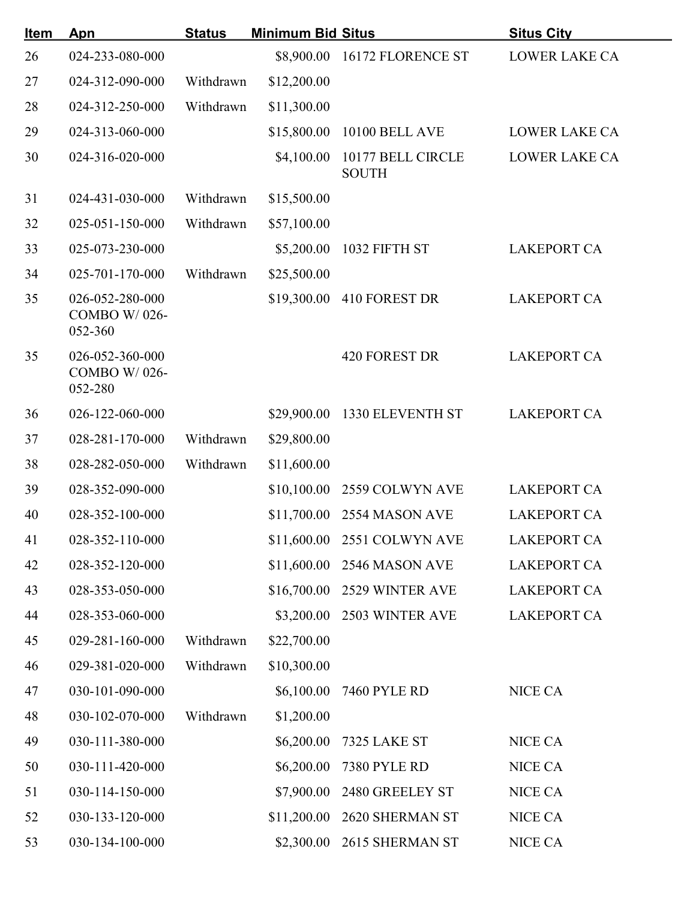| <u>Item</u> | Apn                                        | <b>Status</b> | <b>Minimum Bid Situs</b> |                                   | <b>Situs City</b>    |
|-------------|--------------------------------------------|---------------|--------------------------|-----------------------------------|----------------------|
| 26          | 024-233-080-000                            |               |                          | \$8,900.00 16172 FLORENCE ST      | <b>LOWER LAKE CA</b> |
| 27          | 024-312-090-000                            | Withdrawn     | \$12,200.00              |                                   |                      |
| 28          | 024-312-250-000                            | Withdrawn     | \$11,300.00              |                                   |                      |
| 29          | 024-313-060-000                            |               | \$15,800.00              | <b>10100 BELL AVE</b>             | <b>LOWER LAKE CA</b> |
| 30          | 024-316-020-000                            |               | \$4,100.00               | 10177 BELL CIRCLE<br><b>SOUTH</b> | <b>LOWER LAKE CA</b> |
| 31          | 024-431-030-000                            | Withdrawn     | \$15,500.00              |                                   |                      |
| 32          | 025-051-150-000                            | Withdrawn     | \$57,100.00              |                                   |                      |
| 33          | 025-073-230-000                            |               | \$5,200.00               | 1032 FIFTH ST                     | <b>LAKEPORT CA</b>   |
| 34          | 025-701-170-000                            | Withdrawn     | \$25,500.00              |                                   |                      |
| 35          | 026-052-280-000<br>COMBO W/026-<br>052-360 |               | \$19,300.00              | 410 FOREST DR                     | <b>LAKEPORT CA</b>   |
| 35          | 026-052-360-000<br>COMBO W/026-<br>052-280 |               |                          | <b>420 FOREST DR</b>              | <b>LAKEPORT CA</b>   |
| 36          | 026-122-060-000                            |               | \$29,900.00              | 1330 ELEVENTH ST                  | <b>LAKEPORT CA</b>   |
| 37          | 028-281-170-000                            | Withdrawn     | \$29,800.00              |                                   |                      |
| 38          | 028-282-050-000                            | Withdrawn     | \$11,600.00              |                                   |                      |
| 39          | 028-352-090-000                            |               | \$10,100.00              | 2559 COLWYN AVE                   | <b>LAKEPORT CA</b>   |
| 40          | 028-352-100-000                            |               |                          | \$11,700.00 2554 MASON AVE        | <b>LAKEPORT CA</b>   |
| 41          | 028-352-110-000                            |               |                          | \$11,600.00 2551 COLWYN AVE       | <b>LAKEPORT CA</b>   |
| 42          | 028-352-120-000                            |               |                          | \$11,600.00 2546 MASON AVE        | <b>LAKEPORT CA</b>   |
| 43          | 028-353-050-000                            |               |                          | \$16,700.00 2529 WINTER AVE       | <b>LAKEPORT CA</b>   |
| 44          | 028-353-060-000                            |               |                          | \$3,200.00 2503 WINTER AVE        | <b>LAKEPORT CA</b>   |
| 45          | 029-281-160-000                            | Withdrawn     | \$22,700.00              |                                   |                      |
| 46          | 029-381-020-000                            | Withdrawn     | \$10,300.00              |                                   |                      |
| 47          | 030-101-090-000                            |               |                          | \$6,100.00 7460 PYLE RD           | NICE CA              |
| 48          | 030-102-070-000                            | Withdrawn     | \$1,200.00               |                                   |                      |
| 49          | 030-111-380-000                            |               | \$6,200.00               | 7325 LAKE ST                      | NICE CA              |
| 50          | 030-111-420-000                            |               | \$6,200.00               | <b>7380 PYLE RD</b>               | NICE CA              |
| 51          | 030-114-150-000                            |               |                          | \$7,900.00 2480 GREELEY ST        | NICE CA              |
| 52          | 030-133-120-000                            |               |                          | \$11,200.00 2620 SHERMAN ST       | NICE CA              |
| 53          | 030-134-100-000                            |               |                          | \$2,300.00 2615 SHERMAN ST        | NICE CA              |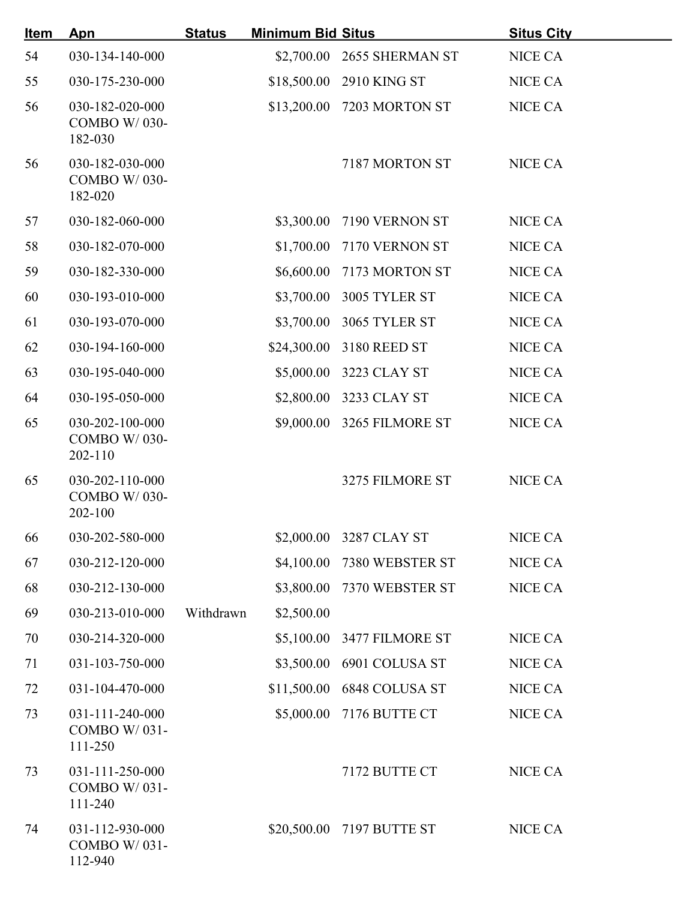| <u>Item</u> | Apn                                               | <b>Status</b> | <b>Minimum Bid Situs</b> |                            | <b>Situs City</b> |
|-------------|---------------------------------------------------|---------------|--------------------------|----------------------------|-------------------|
| 54          | 030-134-140-000                                   |               |                          | \$2,700.00 2655 SHERMAN ST | <b>NICE CA</b>    |
| 55          | 030-175-230-000                                   |               | \$18,500.00              | 2910 KING ST               | <b>NICE CA</b>    |
| 56          | 030-182-020-000<br><b>COMBO W/030-</b><br>182-030 |               | \$13,200.00              | 7203 MORTON ST             | NICE CA           |
| 56          | 030-182-030-000<br>COMBO W/030-<br>182-020        |               |                          | 7187 MORTON ST             | <b>NICE CA</b>    |
| 57          | 030-182-060-000                                   |               | \$3,300.00               | 7190 VERNON ST             | <b>NICE CA</b>    |
| 58          | 030-182-070-000                                   |               | \$1,700.00               | 7170 VERNON ST             | NICE CA           |
| 59          | 030-182-330-000                                   |               | \$6,600.00               | 7173 MORTON ST             | <b>NICE CA</b>    |
| 60          | 030-193-010-000                                   |               | \$3,700.00               | 3005 TYLER ST              | <b>NICE CA</b>    |
| 61          | 030-193-070-000                                   |               | \$3,700.00               | 3065 TYLER ST              | NICE CA           |
| 62          | 030-194-160-000                                   |               | \$24,300.00              | 3180 REED ST               | <b>NICE CA</b>    |
| 63          | 030-195-040-000                                   |               | \$5,000.00               | 3223 CLAY ST               | NICE CA           |
| 64          | 030-195-050-000                                   |               | \$2,800.00               | 3233 CLAY ST               | <b>NICE CA</b>    |
| 65          | 030-202-100-000<br>COMBO W/030-<br>$202 - 110$    |               | \$9,000.00               | 3265 FILMORE ST            | <b>NICE CA</b>    |
| 65          | 030-202-110-000<br>COMBO W/030-<br>202-100        |               |                          | 3275 FILMORE ST            | <b>NICE CA</b>    |
| 66          | 030-202-580-000                                   |               |                          | \$2,000.00 3287 CLAY ST    | <b>NICE CA</b>    |
| 67          | 030-212-120-000                                   |               |                          | \$4,100.00 7380 WEBSTER ST | NICE CA           |
| 68          | 030-212-130-000                                   |               | \$3,800.00               | 7370 WEBSTER ST            | NICE CA           |
| 69          | 030-213-010-000                                   | Withdrawn     | \$2,500.00               |                            |                   |
| 70          | 030-214-320-000                                   |               |                          | \$5,100.00 3477 FILMORE ST | <b>NICE CA</b>    |
| 71          | 031-103-750-000                                   |               |                          | \$3,500.00 6901 COLUSA ST  | <b>NICE CA</b>    |
| 72          | 031-104-470-000                                   |               |                          | \$11,500.00 6848 COLUSA ST | NICE CA           |
| 73          | 031-111-240-000<br>COMBO W/031-<br>111-250        |               | \$5,000.00               | 7176 BUTTE CT              | NICE CA           |
| 73          | 031-111-250-000<br>COMBO W/031-<br>111-240        |               |                          | 7172 BUTTE CT              | <b>NICE CA</b>    |
| 74          | 031-112-930-000<br>COMBO W/031-<br>112-940        |               |                          | \$20,500.00 7197 BUTTE ST  | NICE CA           |
|             |                                                   |               |                          |                            |                   |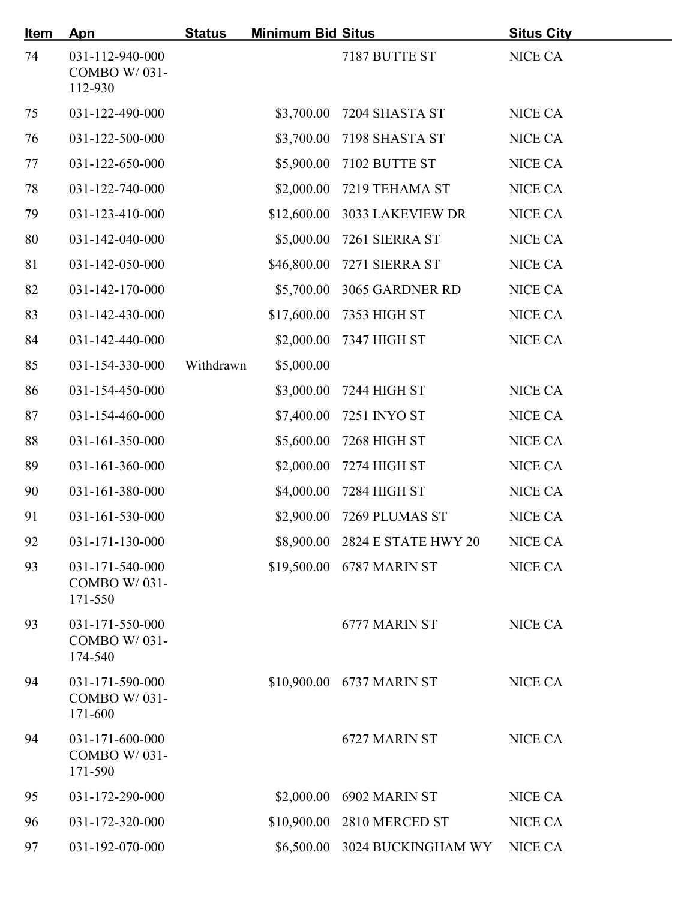| <u>Item</u> | Apn                                        | <b>Status</b> | <b>Minimum Bid Situs</b> |                                | <b>Situs City</b> |
|-------------|--------------------------------------------|---------------|--------------------------|--------------------------------|-------------------|
| 74          | 031-112-940-000<br>COMBO W/031-<br>112-930 |               |                          | 7187 BUTTE ST                  | NICE CA           |
| 75          | 031-122-490-000                            |               | \$3,700.00               | 7204 SHASTA ST                 | <b>NICE CA</b>    |
| 76          | 031-122-500-000                            |               | \$3,700.00               | 7198 SHASTA ST                 | NICE CA           |
| 77          | 031-122-650-000                            |               | \$5,900.00               | 7102 BUTTE ST                  | <b>NICE CA</b>    |
| 78          | 031-122-740-000                            |               | \$2,000.00               | 7219 TEHAMA ST                 | NICE CA           |
| 79          | 031-123-410-000                            |               | \$12,600.00              | 3033 LAKEVIEW DR               | NICE CA           |
| 80          | 031-142-040-000                            |               | \$5,000.00               | 7261 SIERRA ST                 | NICE CA           |
| 81          | 031-142-050-000                            |               | \$46,800.00              | 7271 SIERRA ST                 | NICE CA           |
| 82          | 031-142-170-000                            |               | \$5,700.00               | 3065 GARDNER RD                | NICE CA           |
| 83          | 031-142-430-000                            |               | \$17,600.00              | 7353 HIGH ST                   | NICE CA           |
| 84          | 031-142-440-000                            |               | \$2,000.00               | <b>7347 HIGH ST</b>            | NICE CA           |
| 85          | 031-154-330-000                            | Withdrawn     | \$5,000.00               |                                |                   |
| 86          | 031-154-450-000                            |               | \$3,000.00               | 7244 HIGH ST                   | NICE CA           |
| 87          | 031-154-460-000                            |               | \$7,400.00               | 7251 INYO ST                   | NICE CA           |
| 88          | 031-161-350-000                            |               | \$5,600.00               | 7268 HIGH ST                   | NICE CA           |
| 89          | 031-161-360-000                            |               | \$2,000.00               | 7274 HIGH ST                   | NICE CA           |
| 90          | 031-161-380-000                            |               | \$4,000.00               | 7284 HIGH ST                   | NICE CA           |
| 91          | 031-161-530-000                            |               | \$2,900.00               | 7269 PLUMAS ST                 | NICE CA           |
| 92          | $031 - 171 - 130 - 000$                    |               |                          | \$8,900.00 2824 E STATE HWY 20 | NICE CA           |
| 93          | 031-171-540-000<br>COMBO W/031-<br>171-550 |               |                          | \$19,500.00 6787 MARIN ST      | NICE CA           |
| 93          | 031-171-550-000<br>COMBO W/031-<br>174-540 |               |                          | 6777 MARIN ST                  | NICE CA           |
| 94          | 031-171-590-000<br>COMBO W/031-<br>171-600 |               |                          | \$10,900.00 6737 MARIN ST      | NICE CA           |
| 94          | 031-171-600-000<br>COMBO W/031-<br>171-590 |               |                          | 6727 MARIN ST                  | NICE CA           |
| 95          | 031-172-290-000                            |               | \$2,000.00               | 6902 MARIN ST                  | <b>NICE CA</b>    |
| 96          | 031-172-320-000                            |               | \$10,900.00              | 2810 MERCED ST                 | NICE CA           |
| 97          | 031-192-070-000                            |               |                          | \$6,500.00 3024 BUCKINGHAM WY  | NICE CA           |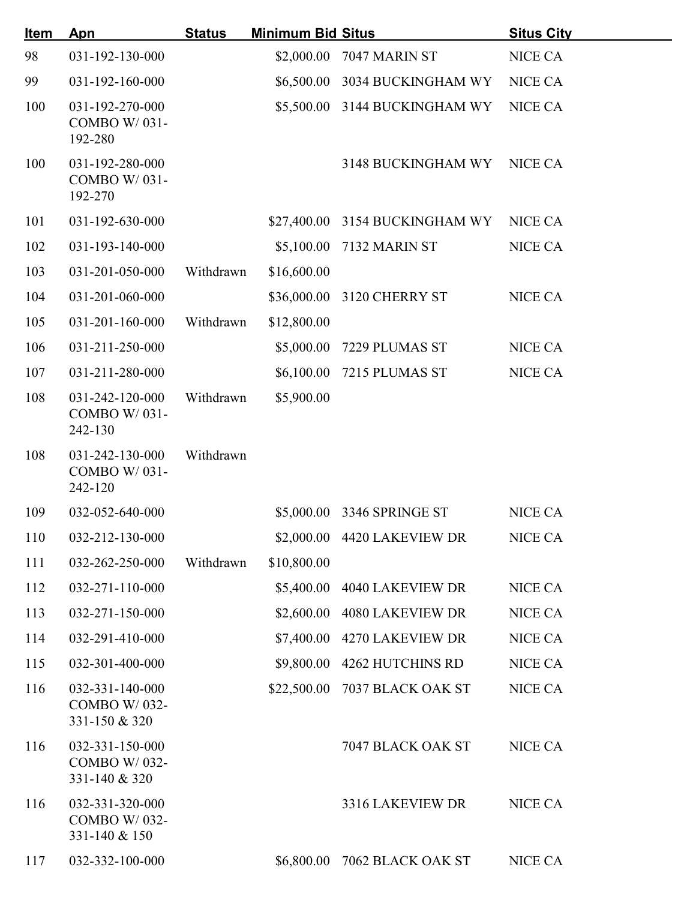| <u>Item</u> | <b>Apn</b>                                       | <b>Status</b> | <b>Minimum Bid Situs</b> |                                | <b>Situs City</b> |
|-------------|--------------------------------------------------|---------------|--------------------------|--------------------------------|-------------------|
| 98          | 031-192-130-000                                  |               | \$2,000.00               | 7047 MARIN ST                  | <b>NICE CA</b>    |
| 99          | 031-192-160-000                                  |               | \$6,500.00               | 3034 BUCKINGHAM WY             | <b>NICE CA</b>    |
| 100         | 031-192-270-000<br>COMBO W/031-<br>192-280       |               |                          | \$5,500.00 3144 BUCKINGHAM WY  | <b>NICE CA</b>    |
| 100         | 031-192-280-000<br>COMBO W/031-<br>192-270       |               |                          | 3148 BUCKINGHAM WY             | NICE CA           |
| 101         | 031-192-630-000                                  |               |                          | \$27,400.00 3154 BUCKINGHAM WY | NICE CA           |
| 102         | 031-193-140-000                                  |               | \$5,100.00               | 7132 MARIN ST                  | NICE CA           |
| 103         | 031-201-050-000                                  | Withdrawn     | \$16,600.00              |                                |                   |
| 104         | 031-201-060-000                                  |               | \$36,000.00              | 3120 CHERRY ST                 | NICE CA           |
| 105         | $031 - 201 - 160 - 000$                          | Withdrawn     | \$12,800.00              |                                |                   |
| 106         | 031-211-250-000                                  |               | \$5,000.00               | 7229 PLUMAS ST                 | NICE CA           |
| 107         | 031-211-280-000                                  |               | \$6,100.00               | 7215 PLUMAS ST                 | NICE CA           |
| 108         | 031-242-120-000<br>COMBO W/031-<br>242-130       | Withdrawn     | \$5,900.00               |                                |                   |
| 108         | 031-242-130-000<br>COMBO W/031-<br>242-120       | Withdrawn     |                          |                                |                   |
| 109         | 032-052-640-000                                  |               |                          | \$5,000.00 3346 SPRINGE ST     | NICE CA           |
| 110         | 032-212-130-000                                  |               |                          | \$2,000.00 4420 LAKEVIEW DR    | NICE CA           |
| 111         | 032-262-250-000                                  | Withdrawn     | \$10,800.00              |                                |                   |
| 112         | 032-271-110-000                                  |               |                          | \$5,400.00 4040 LAKEVIEW DR    | NICE CA           |
| 113         | 032-271-150-000                                  |               |                          | \$2,600.00 4080 LAKEVIEW DR    | NICE CA           |
| 114         | 032-291-410-000                                  |               | \$7,400.00               | 4270 LAKEVIEW DR               | NICE CA           |
| 115         | 032-301-400-000                                  |               | \$9,800.00               | 4262 HUTCHINS RD               | NICE CA           |
| 116         | 032-331-140-000<br>COMBO W/032-<br>331-150 & 320 |               | \$22,500.00              | 7037 BLACK OAK ST              | NICE CA           |
| 116         | 032-331-150-000<br>COMBO W/032-<br>331-140 & 320 |               |                          | 7047 BLACK OAK ST              | NICE CA           |
| 116         | 032-331-320-000<br>COMBO W/032-<br>331-140 & 150 |               |                          | 3316 LAKEVIEW DR               | NICE CA           |
| 117         | 032-332-100-000                                  |               | \$6,800.00               | 7062 BLACK OAK ST              | NICE CA           |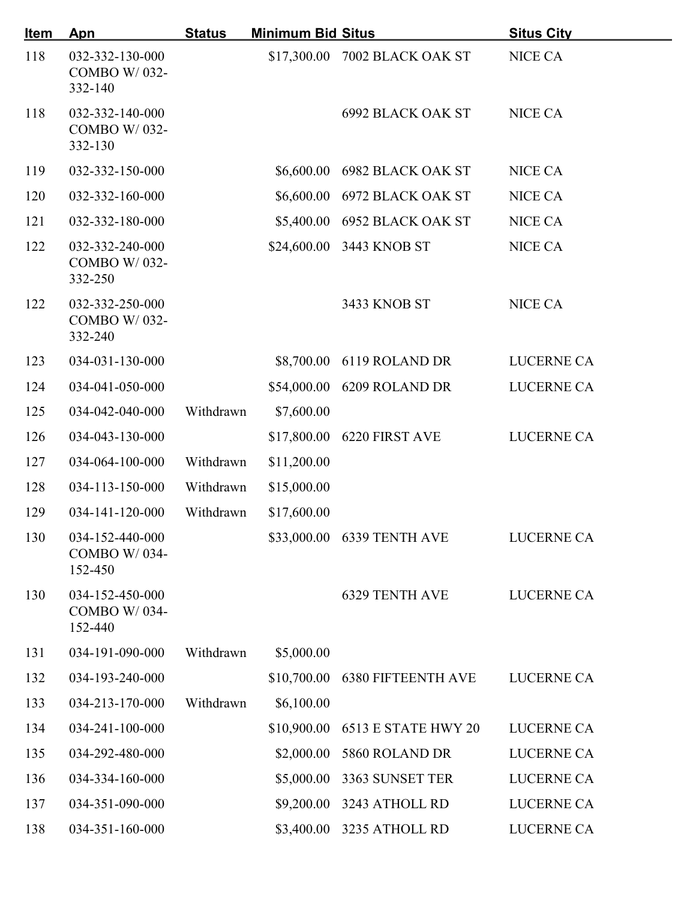| <u>Item</u> | Apn                                               | <b>Status</b> | <b>Minimum Bid Situs</b> |                               | <b>Situs City</b> |
|-------------|---------------------------------------------------|---------------|--------------------------|-------------------------------|-------------------|
| 118         | 032-332-130-000<br>COMBO W/032-<br>332-140        |               |                          | \$17,300.00 7002 BLACK OAK ST | NICE CA           |
| 118         | 032-332-140-000<br><b>COMBO W/032-</b><br>332-130 |               |                          | 6992 BLACK OAK ST             | <b>NICE CA</b>    |
| 119         | 032-332-150-000                                   |               | \$6,600.00               | 6982 BLACK OAK ST             | <b>NICE CA</b>    |
| 120         | 032-332-160-000                                   |               |                          | \$6,600.00 6972 BLACK OAK ST  | NICE CA           |
| 121         | 032-332-180-000                                   |               | \$5,400.00               | 6952 BLACK OAK ST             | <b>NICE CA</b>    |
| 122         | 032-332-240-000<br>COMBO W/032-<br>332-250        |               |                          | \$24,600.00 3443 KNOB ST      | <b>NICE CA</b>    |
| 122         | 032-332-250-000<br>COMBO W/032-<br>332-240        |               |                          | 3433 KNOB ST                  | NICE CA           |
| 123         | 034-031-130-000                                   |               |                          | \$8,700.00 6119 ROLAND DR     | <b>LUCERNE CA</b> |
| 124         | 034-041-050-000                                   |               | \$54,000.00              | 6209 ROLAND DR                | <b>LUCERNE CA</b> |
| 125         | 034-042-040-000                                   | Withdrawn     | \$7,600.00               |                               |                   |
| 126         | 034-043-130-000                                   |               | \$17,800.00              | 6220 FIRST AVE                | <b>LUCERNE CA</b> |
| 127         | 034-064-100-000                                   | Withdrawn     | \$11,200.00              |                               |                   |
| 128         | 034-113-150-000                                   | Withdrawn     | \$15,000.00              |                               |                   |
| 129         | 034-141-120-000                                   | Withdrawn     | \$17,600.00              |                               |                   |
| 130         | 034-152-440-000<br>COMBO W/034-<br>152-450        |               |                          | \$33,000.00 6339 TENTH AVE    | LUCERNE CA        |
| 130         | 034-152-450-000<br>COMBO W/034-<br>152-440        |               |                          | <b>6329 TENTH AVE</b>         | LUCERNE CA        |
| 131         | 034-191-090-000                                   | Withdrawn     | \$5,000.00               |                               |                   |
| 132         | 034-193-240-000                                   |               | \$10,700.00              | <b>6380 FIFTEENTH AVE</b>     | <b>LUCERNE CA</b> |
| 133         | 034-213-170-000                                   | Withdrawn     | \$6,100.00               |                               |                   |
| 134         | 034-241-100-000                                   |               | \$10,900.00              | 6513 E STATE HWY 20           | <b>LUCERNE CA</b> |
| 135         | 034-292-480-000                                   |               | \$2,000.00               | 5860 ROLAND DR                | LUCERNE CA        |
| 136         | 034-334-160-000                                   |               | \$5,000.00               | 3363 SUNSET TER               | LUCERNE CA        |
| 137         | 034-351-090-000                                   |               |                          | \$9,200.00 3243 ATHOLL RD     | LUCERNE CA        |
| 138         | 034-351-160-000                                   |               |                          | \$3,400.00 3235 ATHOLL RD     | LUCERNE CA        |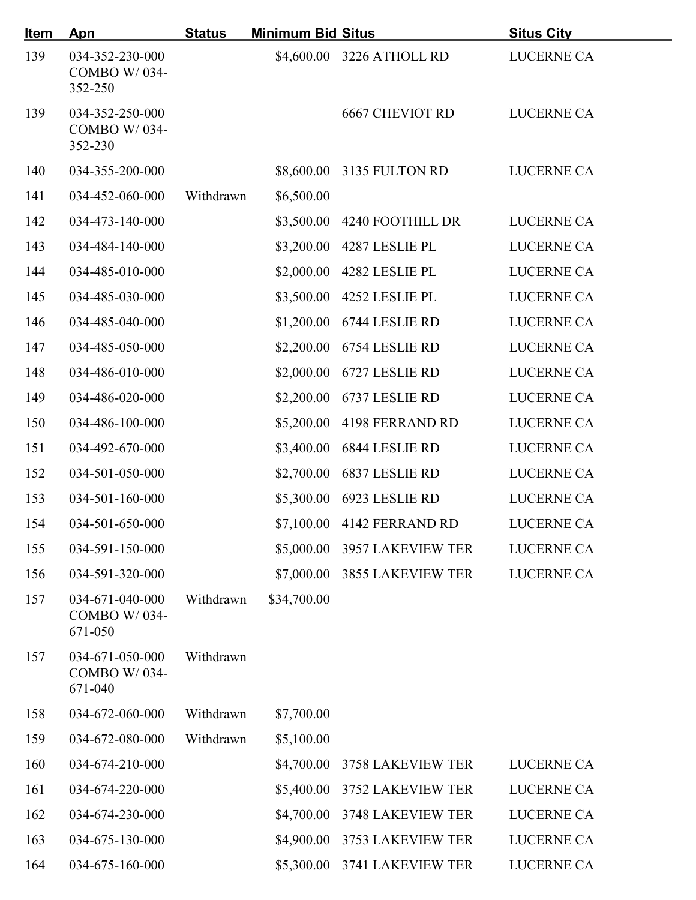| <u>Item</u> | <b>Apn</b>                                        | <b>Status</b> | <b>Minimum Bid Situs</b> |                              | <b>Situs City</b> |
|-------------|---------------------------------------------------|---------------|--------------------------|------------------------------|-------------------|
| 139         | 034-352-230-000<br><b>COMBO W/034-</b><br>352-250 |               |                          | \$4,600.00 3226 ATHOLL RD    | LUCERNE CA        |
| 139         | 034-352-250-000<br><b>COMBO W/034-</b><br>352-230 |               |                          | <b>6667 CHEVIOT RD</b>       | LUCERNE CA        |
| 140         | 034-355-200-000                                   |               |                          | \$8,600.00 3135 FULTON RD    | <b>LUCERNE CA</b> |
| 141         | 034-452-060-000                                   | Withdrawn     | \$6,500.00               |                              |                   |
| 142         | 034-473-140-000                                   |               |                          | \$3,500.00 4240 FOOTHILL DR  | LUCERNE CA        |
| 143         | 034-484-140-000                                   |               | \$3,200.00               | 4287 LESLIE PL               | LUCERNE CA        |
| 144         | 034-485-010-000                                   |               | \$2,000.00               | 4282 LESLIE PL               | LUCERNE CA        |
| 145         | 034-485-030-000                                   |               | \$3,500.00               | 4252 LESLIE PL               | <b>LUCERNE CA</b> |
| 146         | 034-485-040-000                                   |               | \$1,200.00               | 6744 LESLIE RD               | <b>LUCERNE CA</b> |
| 147         | 034-485-050-000                                   |               | \$2,200.00               | 6754 LESLIE RD               | <b>LUCERNE CA</b> |
| 148         | 034-486-010-000                                   |               | \$2,000.00               | 6727 LESLIE RD               | <b>LUCERNE CA</b> |
| 149         | 034-486-020-000                                   |               | \$2,200.00               | 6737 LESLIE RD               | LUCERNE CA        |
| 150         | 034-486-100-000                                   |               | \$5,200.00               | 4198 FERRAND RD              | <b>LUCERNE CA</b> |
| 151         | 034-492-670-000                                   |               | \$3,400.00               | 6844 LESLIE RD               | <b>LUCERNE CA</b> |
| 152         | 034-501-050-000                                   |               | \$2,700.00               | 6837 LESLIE RD               | <b>LUCERNE CA</b> |
| 153         | 034-501-160-000                                   |               | \$5,300.00               | 6923 LESLIE RD               | LUCERNE CA        |
| 154         | 034-501-650-000                                   |               |                          | \$7,100.00 4142 FERRAND RD   | <b>LUCERNE CA</b> |
| 155         | 034-591-150-000                                   |               |                          | \$5,000.00 3957 LAKEVIEW TER | <b>LUCERNE CA</b> |
| 156         | 034-591-320-000                                   |               |                          | \$7,000.00 3855 LAKEVIEW TER | LUCERNE CA        |
| 157         | 034-671-040-000<br>COMBO W/034-<br>671-050        | Withdrawn     | \$34,700.00              |                              |                   |
| 157         | 034-671-050-000<br>COMBO W/034-<br>671-040        | Withdrawn     |                          |                              |                   |
| 158         | 034-672-060-000                                   | Withdrawn     | \$7,700.00               |                              |                   |
| 159         | 034-672-080-000                                   | Withdrawn     | \$5,100.00               |                              |                   |
| 160         | 034-674-210-000                                   |               | \$4,700.00               | 3758 LAKEVIEW TER            | <b>LUCERNE CA</b> |
| 161         | 034-674-220-000                                   |               | \$5,400.00               | 3752 LAKEVIEW TER            | LUCERNE CA        |
| 162         | 034-674-230-000                                   |               | \$4,700.00               | 3748 LAKEVIEW TER            | LUCERNE CA        |
| 163         | 034-675-130-000                                   |               | \$4,900.00               | 3753 LAKEVIEW TER            | <b>LUCERNE CA</b> |
| 164         | 034-675-160-000                                   |               | \$5,300.00               | 3741 LAKEVIEW TER            | <b>LUCERNE CA</b> |
|             |                                                   |               |                          |                              |                   |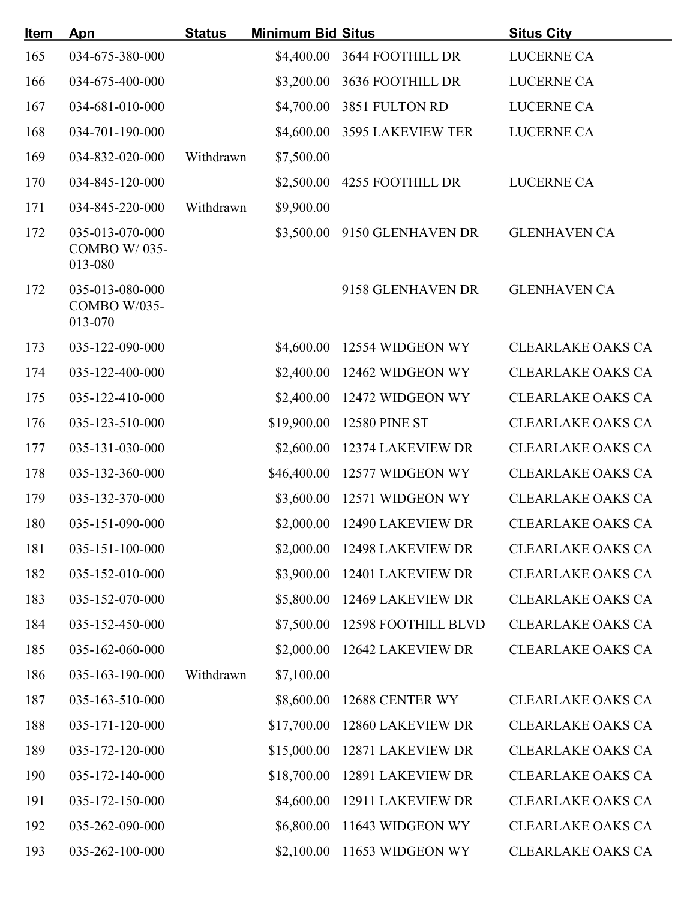| <u>Item</u> | Apn                                        | <b>Status</b> | <b>Minimum Bid Situs</b> |                          | <b>Situs City</b>        |
|-------------|--------------------------------------------|---------------|--------------------------|--------------------------|--------------------------|
| 165         | 034-675-380-000                            |               | \$4,400.00               | <b>3644 FOOTHILL DR</b>  | <b>LUCERNE CA</b>        |
| 166         | 034-675-400-000                            |               | \$3,200.00               | 3636 FOOTHILL DR         | LUCERNE CA               |
| 167         | 034-681-010-000                            |               | \$4,700.00               | 3851 FULTON RD           | <b>LUCERNE CA</b>        |
| 168         | 034-701-190-000                            |               | \$4,600.00               | <b>3595 LAKEVIEW TER</b> | <b>LUCERNE CA</b>        |
| 169         | 034-832-020-000                            | Withdrawn     | \$7,500.00               |                          |                          |
| 170         | 034-845-120-000                            |               | \$2,500.00               | <b>4255 FOOTHILL DR</b>  | <b>LUCERNE CA</b>        |
| 171         | 034-845-220-000                            | Withdrawn     | \$9,900.00               |                          |                          |
| 172         | 035-013-070-000<br>COMBO W/035-<br>013-080 |               | \$3,500.00               | 9150 GLENHAVEN DR        | <b>GLENHAVEN CA</b>      |
| 172         | 035-013-080-000<br>COMBO W/035-<br>013-070 |               |                          | 9158 GLENHAVEN DR        | <b>GLENHAVEN CA</b>      |
| 173         | 035-122-090-000                            |               | \$4,600.00               | 12554 WIDGEON WY         | <b>CLEARLAKE OAKS CA</b> |
| 174         | 035-122-400-000                            |               | \$2,400.00               | 12462 WIDGEON WY         | <b>CLEARLAKE OAKS CA</b> |
| 175         | 035-122-410-000                            |               | \$2,400.00               | 12472 WIDGEON WY         | <b>CLEARLAKE OAKS CA</b> |
| 176         | 035-123-510-000                            |               | \$19,900.00              | <b>12580 PINE ST</b>     | <b>CLEARLAKE OAKS CA</b> |
| 177         | 035-131-030-000                            |               | \$2,600.00               | 12374 LAKEVIEW DR        | <b>CLEARLAKE OAKS CA</b> |
| 178         | 035-132-360-000                            |               | \$46,400.00              | 12577 WIDGEON WY         | <b>CLEARLAKE OAKS CA</b> |
| 179         | 035-132-370-000                            |               | \$3,600.00               | 12571 WIDGEON WY         | <b>CLEARLAKE OAKS CA</b> |
| 180         | 035-151-090-000                            |               | \$2,000.00               | 12490 LAKEVIEW DR        | <b>CLEARLAKE OAKS CA</b> |
| 181         | 035-151-100-000                            |               | \$2,000.00               | 12498 LAKEVIEW DR        | <b>CLEARLAKE OAKS CA</b> |
| 182         | 035-152-010-000                            |               | \$3,900.00               | 12401 LAKEVIEW DR        | <b>CLEARLAKE OAKS CA</b> |
| 183         | 035-152-070-000                            |               | \$5,800.00               | 12469 LAKEVIEW DR        | <b>CLEARLAKE OAKS CA</b> |
| 184         | 035-152-450-000                            |               | \$7,500.00               | 12598 FOOTHILL BLVD      | <b>CLEARLAKE OAKS CA</b> |
| 185         | 035-162-060-000                            |               | \$2,000.00               | 12642 LAKEVIEW DR        | <b>CLEARLAKE OAKS CA</b> |
| 186         | 035-163-190-000                            | Withdrawn     | \$7,100.00               |                          |                          |
| 187         | 035-163-510-000                            |               | \$8,600.00               | 12688 CENTER WY          | <b>CLEARLAKE OAKS CA</b> |
| 188         | 035-171-120-000                            |               | \$17,700.00              | 12860 LAKEVIEW DR        | <b>CLEARLAKE OAKS CA</b> |
| 189         | 035-172-120-000                            |               | \$15,000.00              | 12871 LAKEVIEW DR        | <b>CLEARLAKE OAKS CA</b> |
| 190         | 035-172-140-000                            |               | \$18,700.00              | 12891 LAKEVIEW DR        | <b>CLEARLAKE OAKS CA</b> |
| 191         | 035-172-150-000                            |               | \$4,600.00               | 12911 LAKEVIEW DR        | <b>CLEARLAKE OAKS CA</b> |
| 192         | 035-262-090-000                            |               | \$6,800.00               | 11643 WIDGEON WY         | <b>CLEARLAKE OAKS CA</b> |
| 193         | 035-262-100-000                            |               | \$2,100.00               | 11653 WIDGEON WY         | <b>CLEARLAKE OAKS CA</b> |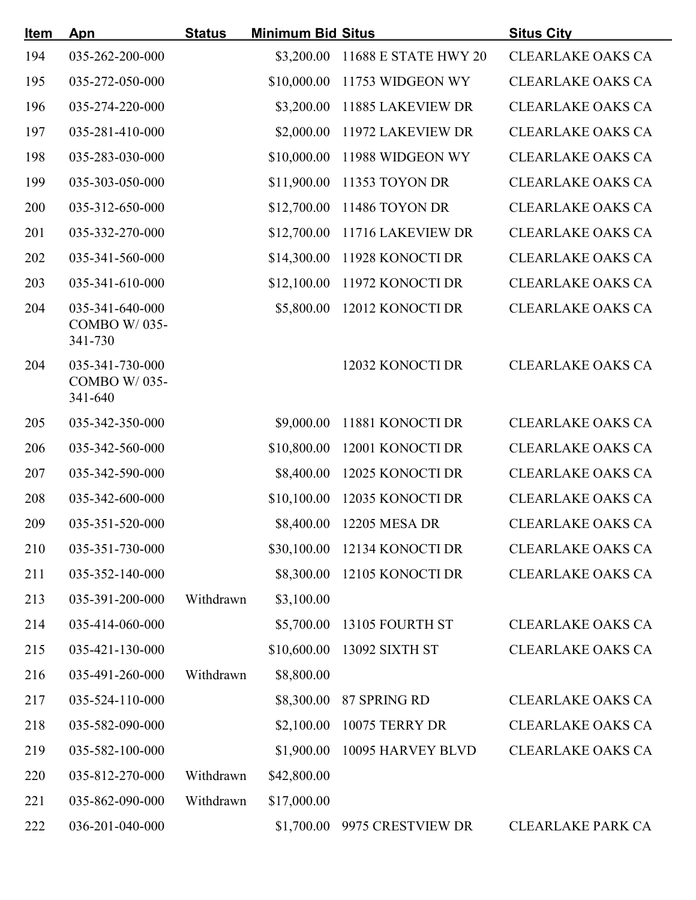| <b>Item</b> | Apn                                               | <b>Status</b> | <b>Minimum Bid Situs</b> |                              | <b>Situs City</b>        |
|-------------|---------------------------------------------------|---------------|--------------------------|------------------------------|--------------------------|
| 194         | 035-262-200-000                                   |               | \$3,200.00               | 11688 E STATE HWY 20         | <b>CLEARLAKE OAKS CA</b> |
| 195         | 035-272-050-000                                   |               | \$10,000.00              | 11753 WIDGEON WY             | <b>CLEARLAKE OAKS CA</b> |
| 196         | 035-274-220-000                                   |               | \$3,200.00               | 11885 LAKEVIEW DR            | <b>CLEARLAKE OAKS CA</b> |
| 197         | 035-281-410-000                                   |               | \$2,000.00               | 11972 LAKEVIEW DR            | <b>CLEARLAKE OAKS CA</b> |
| 198         | 035-283-030-000                                   |               | \$10,000.00              | 11988 WIDGEON WY             | <b>CLEARLAKE OAKS CA</b> |
| 199         | 035-303-050-000                                   |               | \$11,900.00              | 11353 TOYON DR               | <b>CLEARLAKE OAKS CA</b> |
| 200         | 035-312-650-000                                   |               | \$12,700.00              | 11486 TOYON DR               | <b>CLEARLAKE OAKS CA</b> |
| 201         | 035-332-270-000                                   |               | \$12,700.00              | 11716 LAKEVIEW DR            | <b>CLEARLAKE OAKS CA</b> |
| 202         | 035-341-560-000                                   |               | \$14,300.00              | 11928 KONOCTI DR             | <b>CLEARLAKE OAKS CA</b> |
| 203         | 035-341-610-000                                   |               | \$12,100.00              | 11972 KONOCTI DR             | <b>CLEARLAKE OAKS CA</b> |
| 204         | 035-341-640-000<br>COMBO W/035-<br>341-730        |               | \$5,800.00               | 12012 KONOCTI DR             | <b>CLEARLAKE OAKS CA</b> |
| 204         | 035-341-730-000<br><b>COMBO W/035-</b><br>341-640 |               |                          | 12032 KONOCTI DR             | <b>CLEARLAKE OAKS CA</b> |
| 205         | 035-342-350-000                                   |               | \$9,000.00               | 11881 KONOCTI DR             | <b>CLEARLAKE OAKS CA</b> |
| 206         | 035-342-560-000                                   |               | \$10,800.00              | 12001 KONOCTI DR             | <b>CLEARLAKE OAKS CA</b> |
| 207         | 035-342-590-000                                   |               | \$8,400.00               | 12025 KONOCTI DR             | <b>CLEARLAKE OAKS CA</b> |
| 208         | 035-342-600-000                                   |               | \$10,100.00              | 12035 KONOCTI DR             | <b>CLEARLAKE OAKS CA</b> |
| 209         | 035-351-520-000                                   |               | \$8,400.00               | 12205 MESA DR                | <b>CLEARLAKE OAKS CA</b> |
| 210         | 035-351-730-000                                   |               |                          | \$30,100.00 12134 KONOCTI DR | <b>CLEARLAKE OAKS CA</b> |
| 211         | 035-352-140-000                                   |               | \$8,300.00               | 12105 KONOCTI DR             | <b>CLEARLAKE OAKS CA</b> |
| 213         | 035-391-200-000                                   | Withdrawn     | \$3,100.00               |                              |                          |
| 214         | 035-414-060-000                                   |               | \$5,700.00               | 13105 FOURTH ST              | <b>CLEARLAKE OAKS CA</b> |
| 215         | 035-421-130-000                                   |               | \$10,600.00              | 13092 SIXTH ST               | <b>CLEARLAKE OAKS CA</b> |
| 216         | 035-491-260-000                                   | Withdrawn     | \$8,800.00               |                              |                          |
| 217         | 035-524-110-000                                   |               | \$8,300.00               | 87 SPRING RD                 | <b>CLEARLAKE OAKS CA</b> |
| 218         | 035-582-090-000                                   |               | \$2,100.00               | 10075 TERRY DR               | <b>CLEARLAKE OAKS CA</b> |
| 219         | 035-582-100-000                                   |               | \$1,900.00               | 10095 HARVEY BLVD            | <b>CLEARLAKE OAKS CA</b> |
| 220         | 035-812-270-000                                   | Withdrawn     | \$42,800.00              |                              |                          |
| 221         | 035-862-090-000                                   | Withdrawn     | \$17,000.00              |                              |                          |
| 222         | 036-201-040-000                                   |               | \$1,700.00               | 9975 CRESTVIEW DR            | <b>CLEARLAKE PARK CA</b> |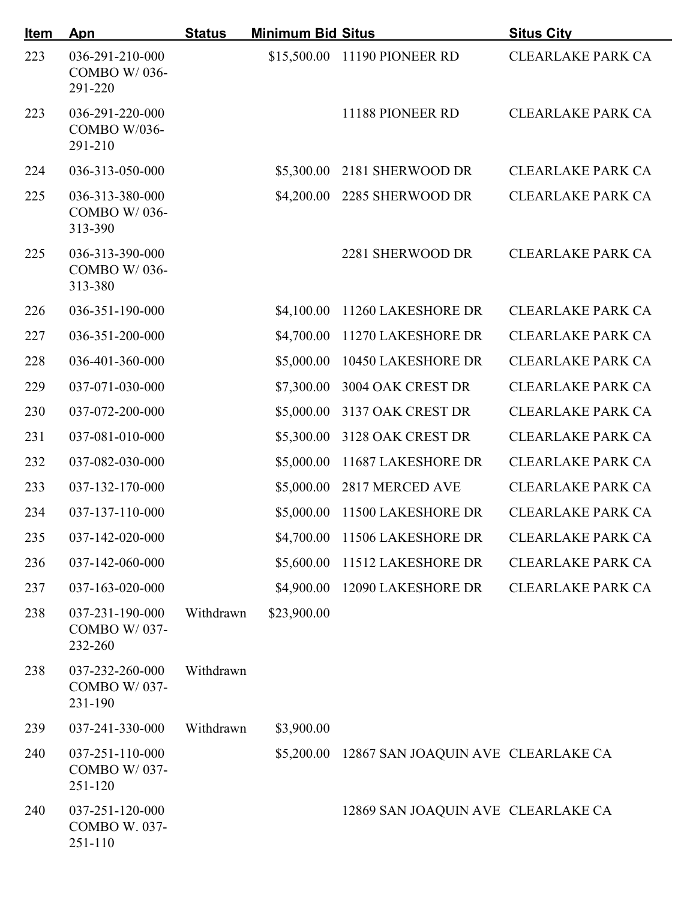| <u>Item</u> | Apn                                         | <b>Status</b> | <b>Minimum Bid Situs</b> |                                               | <b>Situs City</b>        |
|-------------|---------------------------------------------|---------------|--------------------------|-----------------------------------------------|--------------------------|
| 223         | 036-291-210-000<br>COMBO W/036-<br>291-220  |               |                          | \$15,500.00 11190 PIONEER RD                  | <b>CLEARLAKE PARK CA</b> |
| 223         | 036-291-220-000<br>COMBO W/036-<br>291-210  |               |                          | 11188 PIONEER RD                              | <b>CLEARLAKE PARK CA</b> |
| 224         | 036-313-050-000                             |               | \$5,300.00               | 2181 SHERWOOD DR                              | <b>CLEARLAKE PARK CA</b> |
| 225         | 036-313-380-000<br>COMBO W/036-<br>313-390  |               | \$4,200.00               | 2285 SHERWOOD DR                              | <b>CLEARLAKE PARK CA</b> |
| 225         | 036-313-390-000<br>COMBO W/036-<br>313-380  |               |                          | 2281 SHERWOOD DR                              | <b>CLEARLAKE PARK CA</b> |
| 226         | 036-351-190-000                             |               | \$4,100.00               | 11260 LAKESHORE DR                            | <b>CLEARLAKE PARK CA</b> |
| 227         | 036-351-200-000                             |               | \$4,700.00               | 11270 LAKESHORE DR                            | <b>CLEARLAKE PARK CA</b> |
| 228         | 036-401-360-000                             |               | \$5,000.00               | 10450 LAKESHORE DR                            | <b>CLEARLAKE PARK CA</b> |
| 229         | 037-071-030-000                             |               | \$7,300.00               | 3004 OAK CREST DR                             | <b>CLEARLAKE PARK CA</b> |
| 230         | 037-072-200-000                             |               | \$5,000.00               | 3137 OAK CREST DR                             | <b>CLEARLAKE PARK CA</b> |
| 231         | 037-081-010-000                             |               | \$5,300.00               | 3128 OAK CREST DR                             | <b>CLEARLAKE PARK CA</b> |
| 232         | 037-082-030-000                             |               | \$5,000.00               | 11687 LAKESHORE DR                            | <b>CLEARLAKE PARK CA</b> |
| 233         | 037-132-170-000                             |               | \$5,000.00               | 2817 MERCED AVE                               | <b>CLEARLAKE PARK CA</b> |
| 234         | 037-137-110-000                             |               |                          | \$5,000.00 11500 LAKESHORE DR                 | <b>CLEARLAKE PARK CA</b> |
| 235         | 037-142-020-000                             |               |                          | \$4,700.00 11506 LAKESHORE DR                 | <b>CLEARLAKE PARK CA</b> |
| 236         | 037-142-060-000                             |               | \$5,600.00               | 11512 LAKESHORE DR                            | <b>CLEARLAKE PARK CA</b> |
| 237         | 037-163-020-000                             |               | \$4,900.00               | 12090 LAKESHORE DR                            | <b>CLEARLAKE PARK CA</b> |
| 238         | 037-231-190-000<br>COMBO W/037-<br>232-260  | Withdrawn     | \$23,900.00              |                                               |                          |
| 238         | 037-232-260-000<br>COMBO W/037-<br>231-190  | Withdrawn     |                          |                                               |                          |
| 239         | 037-241-330-000                             | Withdrawn     | \$3,900.00               |                                               |                          |
| 240         | 037-251-110-000<br>COMBO W/037-<br>251-120  |               |                          | \$5,200.00 12867 SAN JOAQUIN AVE CLEARLAKE CA |                          |
| 240         | 037-251-120-000<br>COMBO W. 037-<br>251-110 |               |                          | 12869 SAN JOAQUIN AVE CLEARLAKE CA            |                          |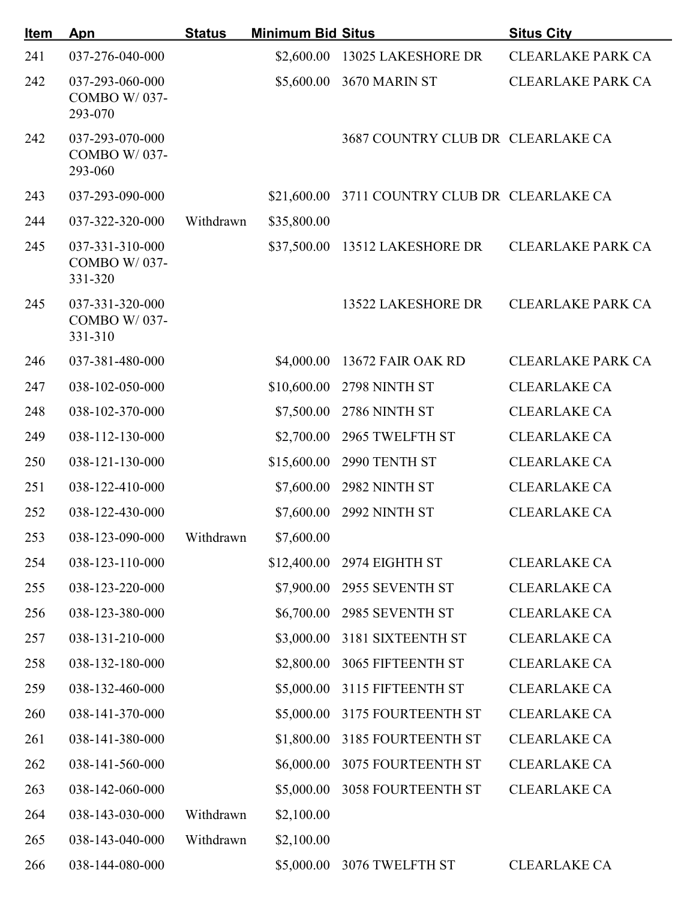| <b>Item</b> | Apn                                               | <b>Status</b> | <b>Minimum Bid Situs</b> |                                               | <b>Situs City</b>        |
|-------------|---------------------------------------------------|---------------|--------------------------|-----------------------------------------------|--------------------------|
| 241         | 037-276-040-000                                   |               | \$2,600.00               | 13025 LAKESHORE DR                            | <b>CLEARLAKE PARK CA</b> |
| 242         | 037-293-060-000<br>COMBO W/037-<br>293-070        |               | \$5,600.00               | 3670 MARIN ST                                 | <b>CLEARLAKE PARK CA</b> |
| 242         | 037-293-070-000<br><b>COMBO W/037-</b><br>293-060 |               |                          | 3687 COUNTRY CLUB DR CLEARLAKE CA             |                          |
| 243         | 037-293-090-000                                   |               |                          | \$21,600.00 3711 COUNTRY CLUB DR CLEARLAKE CA |                          |
| 244         | 037-322-320-000                                   | Withdrawn     | \$35,800.00              |                                               |                          |
| 245         | 037-331-310-000<br><b>COMBO W/037-</b><br>331-320 |               | \$37,500.00              | 13512 LAKESHORE DR                            | <b>CLEARLAKE PARK CA</b> |
| 245         | 037-331-320-000<br><b>COMBO W/037-</b><br>331-310 |               |                          | 13522 LAKESHORE DR                            | <b>CLEARLAKE PARK CA</b> |
| 246         | 037-381-480-000                                   |               | \$4,000.00               | 13672 FAIR OAK RD                             | <b>CLEARLAKE PARK CA</b> |
| 247         | 038-102-050-000                                   |               | \$10,600.00              | 2798 NINTH ST                                 | <b>CLEARLAKE CA</b>      |
| 248         | 038-102-370-000                                   |               | \$7,500.00               | 2786 NINTH ST                                 | <b>CLEARLAKE CA</b>      |
| 249         | 038-112-130-000                                   |               | \$2,700.00               | 2965 TWELFTH ST                               | <b>CLEARLAKE CA</b>      |
| 250         | 038-121-130-000                                   |               | \$15,600.00              | 2990 TENTH ST                                 | <b>CLEARLAKE CA</b>      |
| 251         | 038-122-410-000                                   |               | \$7,600.00               | 2982 NINTH ST                                 | <b>CLEARLAKE CA</b>      |
| 252         | 038-122-430-000                                   |               |                          | \$7,600.00 2992 NINTH ST                      | <b>CLEARLAKE CA</b>      |
| 253         | 038-123-090-000 Withdrawn                         |               | \$7,600.00               |                                               |                          |
| 254         | 038-123-110-000                                   |               | \$12,400.00              | 2974 EIGHTH ST                                | <b>CLEARLAKE CA</b>      |
| 255         | 038-123-220-000                                   |               | \$7,900.00               | 2955 SEVENTH ST                               | <b>CLEARLAKE CA</b>      |
| 256         | 038-123-380-000                                   |               | \$6,700.00               | 2985 SEVENTH ST                               | <b>CLEARLAKE CA</b>      |
| 257         | 038-131-210-000                                   |               | \$3,000.00               | 3181 SIXTEENTH ST                             | <b>CLEARLAKE CA</b>      |
| 258         | 038-132-180-000                                   |               | \$2,800.00               | 3065 FIFTEENTH ST                             | <b>CLEARLAKE CA</b>      |
| 259         | 038-132-460-000                                   |               | \$5,000.00               | 3115 FIFTEENTH ST                             | <b>CLEARLAKE CA</b>      |
| 260         | 038-141-370-000                                   |               | \$5,000.00               | 3175 FOURTEENTH ST                            | <b>CLEARLAKE CA</b>      |
| 261         | 038-141-380-000                                   |               | \$1,800.00               | 3185 FOURTEENTH ST                            | <b>CLEARLAKE CA</b>      |
| 262         | 038-141-560-000                                   |               | \$6,000.00               | 3075 FOURTEENTH ST                            | <b>CLEARLAKE CA</b>      |
| 263         | 038-142-060-000                                   |               | \$5,000.00               | <b>3058 FOURTEENTH ST</b>                     | <b>CLEARLAKE CA</b>      |
| 264         | 038-143-030-000                                   | Withdrawn     | \$2,100.00               |                                               |                          |
| 265         | 038-143-040-000                                   | Withdrawn     | \$2,100.00               |                                               |                          |
| 266         | 038-144-080-000                                   |               | \$5,000.00               | 3076 TWELFTH ST                               | <b>CLEARLAKE CA</b>      |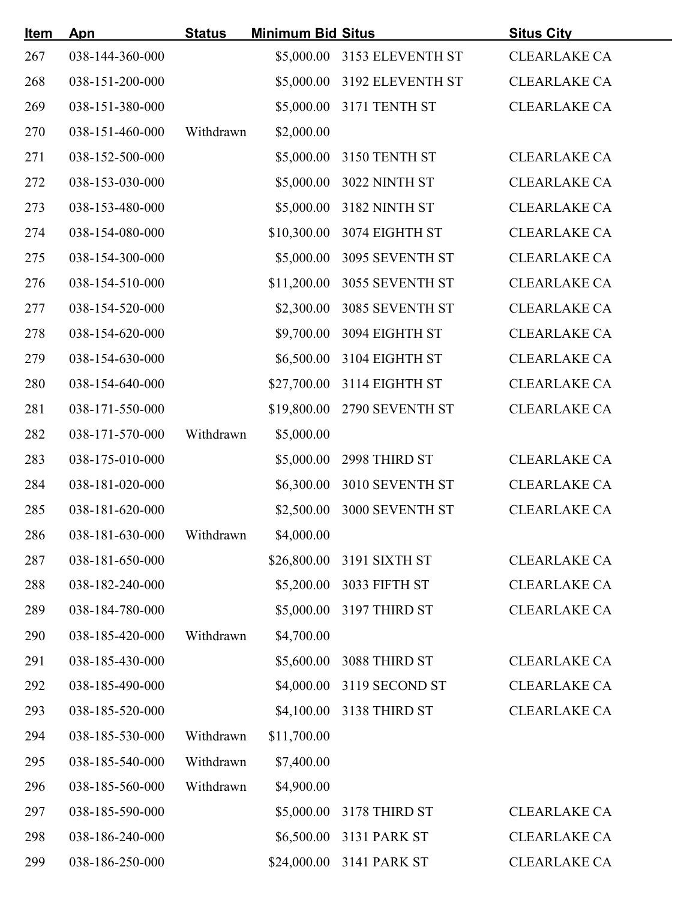| <u>Item</u> | Apn             | <b>Status</b> | <b>Minimum Bid Situs</b> |                             | <b>Situs City</b>   |
|-------------|-----------------|---------------|--------------------------|-----------------------------|---------------------|
| 267         | 038-144-360-000 |               |                          | \$5,000.00 3153 ELEVENTH ST | <b>CLEARLAKE CA</b> |
| 268         | 038-151-200-000 |               |                          | \$5,000.00 3192 ELEVENTH ST | <b>CLEARLAKE CA</b> |
| 269         | 038-151-380-000 |               |                          | \$5,000.00 3171 TENTH ST    | <b>CLEARLAKE CA</b> |
| 270         | 038-151-460-000 | Withdrawn     | \$2,000.00               |                             |                     |
| 271         | 038-152-500-000 |               |                          | \$5,000.00 3150 TENTH ST    | <b>CLEARLAKE CA</b> |
| 272         | 038-153-030-000 |               |                          | \$5,000.00 3022 NINTH ST    | <b>CLEARLAKE CA</b> |
| 273         | 038-153-480-000 |               |                          | \$5,000.00 3182 NINTH ST    | <b>CLEARLAKE CA</b> |
| 274         | 038-154-080-000 |               |                          | \$10,300.00 3074 EIGHTH ST  | <b>CLEARLAKE CA</b> |
| 275         | 038-154-300-000 |               |                          | \$5,000.00 3095 SEVENTH ST  | <b>CLEARLAKE CA</b> |
| 276         | 038-154-510-000 |               |                          | \$11,200.00 3055 SEVENTH ST | <b>CLEARLAKE CA</b> |
| 277         | 038-154-520-000 |               |                          | \$2,300.00 3085 SEVENTH ST  | <b>CLEARLAKE CA</b> |
| 278         | 038-154-620-000 |               |                          | \$9,700.00 3094 EIGHTH ST   | <b>CLEARLAKE CA</b> |
| 279         | 038-154-630-000 |               |                          | \$6,500.00 3104 EIGHTH ST   | <b>CLEARLAKE CA</b> |
| 280         | 038-154-640-000 |               |                          | \$27,700.00 3114 EIGHTH ST  | <b>CLEARLAKE CA</b> |
| 281         | 038-171-550-000 |               |                          | \$19,800.00 2790 SEVENTH ST | <b>CLEARLAKE CA</b> |
| 282         | 038-171-570-000 | Withdrawn     | \$5,000.00               |                             |                     |
| 283         | 038-175-010-000 |               |                          | \$5,000.00 2998 THIRD ST    | <b>CLEARLAKE CA</b> |
| 284         | 038-181-020-000 |               |                          | \$6,300.00 3010 SEVENTH ST  | <b>CLEARLAKE CA</b> |
| 285         | 038-181-620-000 |               |                          | \$2,500.00 3000 SEVENTH ST  | <b>CLEARLAKE CA</b> |
| 286         | 038-181-630-000 | Withdrawn     | \$4,000.00               |                             |                     |
| 287         | 038-181-650-000 |               |                          | \$26,800.00 3191 SIXTH ST   | <b>CLEARLAKE CA</b> |
| 288         | 038-182-240-000 |               |                          | \$5,200.00 3033 FIFTH ST    | <b>CLEARLAKE CA</b> |
| 289         | 038-184-780-000 |               |                          | \$5,000.00 3197 THIRD ST    | <b>CLEARLAKE CA</b> |
| 290         | 038-185-420-000 | Withdrawn     | \$4,700.00               |                             |                     |
| 291         | 038-185-430-000 |               | \$5,600.00               | 3088 THIRD ST               | <b>CLEARLAKE CA</b> |
| 292         | 038-185-490-000 |               | \$4,000.00               | 3119 SECOND ST              | <b>CLEARLAKE CA</b> |
| 293         | 038-185-520-000 |               |                          | \$4,100.00 3138 THIRD ST    | <b>CLEARLAKE CA</b> |
| 294         | 038-185-530-000 | Withdrawn     | \$11,700.00              |                             |                     |
| 295         | 038-185-540-000 | Withdrawn     | \$7,400.00               |                             |                     |
| 296         | 038-185-560-000 | Withdrawn     | \$4,900.00               |                             |                     |
| 297         | 038-185-590-000 |               |                          | \$5,000.00 3178 THIRD ST    | <b>CLEARLAKE CA</b> |
| 298         | 038-186-240-000 |               |                          | \$6,500.00 3131 PARK ST     | <b>CLEARLAKE CA</b> |
| 299         | 038-186-250-000 |               |                          | \$24,000.00 3141 PARK ST    | <b>CLEARLAKE CA</b> |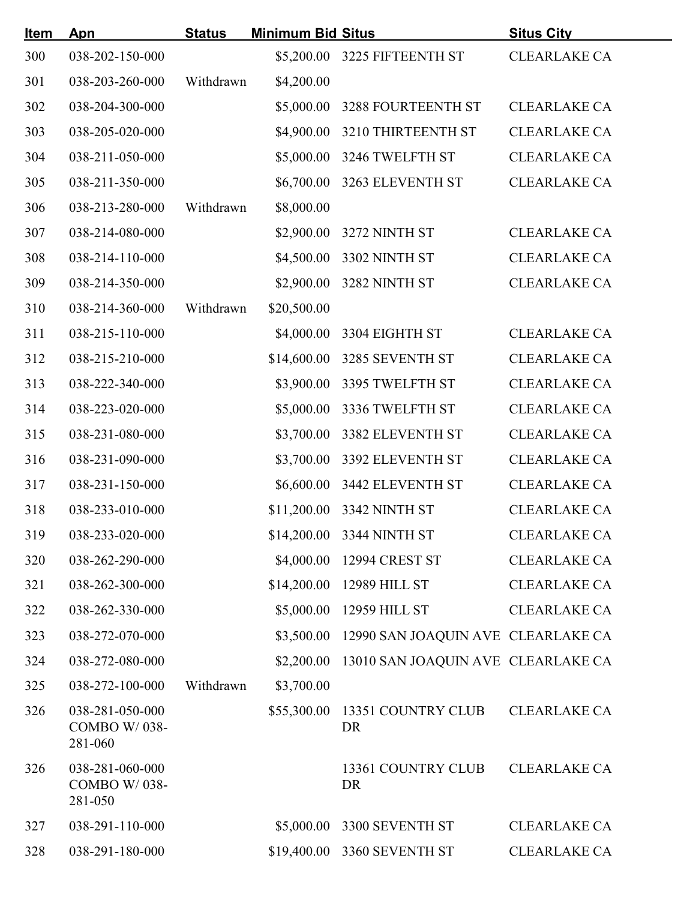| <u>Item</u> | Apn                                        | <b>Status</b> | <b>Minimum Bid Situs</b> |                                               | <b>Situs City</b>   |
|-------------|--------------------------------------------|---------------|--------------------------|-----------------------------------------------|---------------------|
| 300         | 038-202-150-000                            |               |                          | \$5,200.00 3225 FIFTEENTH ST                  | <b>CLEARLAKE CA</b> |
| 301         | 038-203-260-000                            | Withdrawn     | \$4,200.00               |                                               |                     |
| 302         | 038-204-300-000                            |               |                          | \$5,000.00 3288 FOURTEENTH ST                 | <b>CLEARLAKE CA</b> |
| 303         | 038-205-020-000                            |               |                          | \$4,900.00 3210 THIRTEENTH ST                 | <b>CLEARLAKE CA</b> |
| 304         | 038-211-050-000                            |               |                          | \$5,000.00 3246 TWELFTH ST                    | <b>CLEARLAKE CA</b> |
| 305         | 038-211-350-000                            |               |                          | \$6,700.00 3263 ELEVENTH ST                   | <b>CLEARLAKE CA</b> |
| 306         | 038-213-280-000                            | Withdrawn     | \$8,000.00               |                                               |                     |
| 307         | 038-214-080-000                            |               |                          | \$2,900.00 3272 NINTH ST                      | <b>CLEARLAKE CA</b> |
| 308         | 038-214-110-000                            |               |                          | \$4,500.00 3302 NINTH ST                      | <b>CLEARLAKE CA</b> |
| 309         | 038-214-350-000                            |               |                          | \$2,900.00 3282 NINTH ST                      | <b>CLEARLAKE CA</b> |
| 310         | 038-214-360-000                            | Withdrawn     | \$20,500.00              |                                               |                     |
| 311         | 038-215-110-000                            |               |                          | \$4,000.00 3304 EIGHTH ST                     | <b>CLEARLAKE CA</b> |
| 312         | 038-215-210-000                            |               |                          | \$14,600.00 3285 SEVENTH ST                   | <b>CLEARLAKE CA</b> |
| 313         | 038-222-340-000                            |               |                          | \$3,900.00 3395 TWELFTH ST                    | <b>CLEARLAKE CA</b> |
| 314         | 038-223-020-000                            |               |                          | \$5,000.00 3336 TWELFTH ST                    | <b>CLEARLAKE CA</b> |
| 315         | 038-231-080-000                            |               |                          | \$3,700.00 3382 ELEVENTH ST                   | <b>CLEARLAKE CA</b> |
| 316         | 038-231-090-000                            |               |                          | \$3,700.00 3392 ELEVENTH ST                   | <b>CLEARLAKE CA</b> |
| 317         | 038-231-150-000                            |               |                          | \$6,600.00 3442 ELEVENTH ST                   | <b>CLEARLAKE CA</b> |
| 318         | 038-233-010-000                            |               |                          | \$11,200.00 3342 NINTH ST                     | <b>CLEARLAKE CA</b> |
| 319         | 038-233-020-000                            |               |                          | \$14,200.00 3344 NINTH ST                     | <b>CLEARLAKE CA</b> |
| 320         | 038-262-290-000                            |               |                          | \$4,000.00 12994 CREST ST                     | <b>CLEARLAKE CA</b> |
| 321         | 038-262-300-000                            |               |                          | \$14,200.00 12989 HILL ST                     | <b>CLEARLAKE CA</b> |
| 322         | 038-262-330-000                            |               |                          | \$5,000.00 12959 HILL ST                      | <b>CLEARLAKE CA</b> |
| 323         | 038-272-070-000                            |               |                          | \$3,500.00 12990 SAN JOAQUIN AVE CLEARLAKE CA |                     |
| 324         | 038-272-080-000                            |               |                          | \$2,200.00 13010 SAN JOAQUIN AVE CLEARLAKE CA |                     |
| 325         | 038-272-100-000                            | Withdrawn     | \$3,700.00               |                                               |                     |
| 326         | 038-281-050-000<br>COMBO W/038-<br>281-060 |               | \$55,300.00              | 13351 COUNTRY CLUB<br>DR                      | <b>CLEARLAKE CA</b> |
| 326         | 038-281-060-000<br>COMBO W/038-<br>281-050 |               |                          | 13361 COUNTRY CLUB<br>DR                      | <b>CLEARLAKE CA</b> |
| 327         | 038-291-110-000                            |               | \$5,000.00               | 3300 SEVENTH ST                               | <b>CLEARLAKE CA</b> |
| 328         | 038-291-180-000                            |               |                          | \$19,400.00 3360 SEVENTH ST                   | <b>CLEARLAKE CA</b> |
|             |                                            |               |                          |                                               |                     |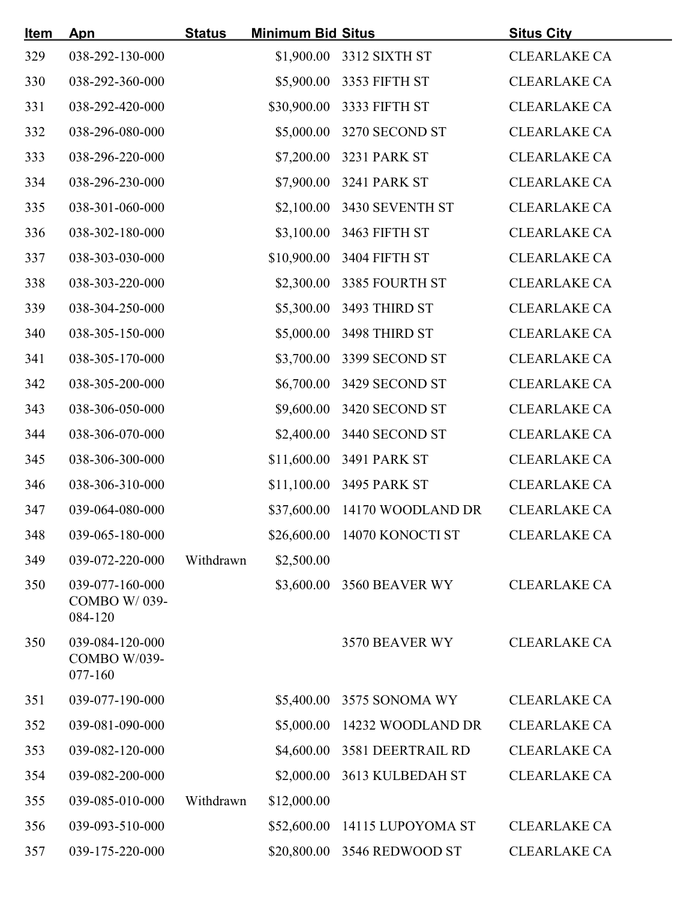| <u>Item</u> | <u>Apn</u>                                 | <b>Status</b> | <b>Minimum Bid Situs</b> |                               | <b>Situs City</b>   |
|-------------|--------------------------------------------|---------------|--------------------------|-------------------------------|---------------------|
| 329         | 038-292-130-000                            |               |                          | \$1,900.00 3312 SIXTH ST      | <b>CLEARLAKE CA</b> |
| 330         | 038-292-360-000                            |               |                          | \$5,900.00 3353 FIFTH ST      | <b>CLEARLAKE CA</b> |
| 331         | 038-292-420-000                            |               |                          | \$30,900.00 3333 FIFTH ST     | <b>CLEARLAKE CA</b> |
| 332         | 038-296-080-000                            |               |                          | \$5,000.00 3270 SECOND ST     | <b>CLEARLAKE CA</b> |
| 333         | 038-296-220-000                            |               |                          | \$7,200.00 3231 PARK ST       | <b>CLEARLAKE CA</b> |
| 334         | 038-296-230-000                            |               |                          | \$7,900.00 3241 PARK ST       | <b>CLEARLAKE CA</b> |
| 335         | 038-301-060-000                            |               |                          | \$2,100.00 3430 SEVENTH ST    | <b>CLEARLAKE CA</b> |
| 336         | 038-302-180-000                            |               |                          | \$3,100.00 3463 FIFTH ST      | <b>CLEARLAKE CA</b> |
| 337         | 038-303-030-000                            |               |                          | \$10,900.00 3404 FIFTH ST     | <b>CLEARLAKE CA</b> |
| 338         | 038-303-220-000                            |               |                          | \$2,300.00 3385 FOURTH ST     | <b>CLEARLAKE CA</b> |
| 339         | 038-304-250-000                            |               |                          | \$5,300.00 3493 THIRD ST      | <b>CLEARLAKE CA</b> |
| 340         | 038-305-150-000                            |               |                          | \$5,000.00 3498 THIRD ST      | <b>CLEARLAKE CA</b> |
| 341         | 038-305-170-000                            |               |                          | \$3,700.00 3399 SECOND ST     | <b>CLEARLAKE CA</b> |
| 342         | 038-305-200-000                            |               |                          | \$6,700.00 3429 SECOND ST     | <b>CLEARLAKE CA</b> |
| 343         | 038-306-050-000                            |               |                          | \$9,600.00 3420 SECOND ST     | <b>CLEARLAKE CA</b> |
| 344         | 038-306-070-000                            |               |                          | \$2,400.00 3440 SECOND ST     | <b>CLEARLAKE CA</b> |
| 345         | 038-306-300-000                            |               |                          | \$11,600.00 3491 PARK ST      | <b>CLEARLAKE CA</b> |
| 346         | 038-306-310-000                            |               |                          | \$11,100.00 3495 PARK ST      | <b>CLEARLAKE CA</b> |
| 347         | 039-064-080-000                            |               |                          | \$37,600.00 14170 WOODLAND DR | <b>CLEARLAKE CA</b> |
| 348         | 039-065-180-000                            |               |                          | \$26,600.00 14070 KONOCTI ST  | <b>CLEARLAKE CA</b> |
| 349         | 039-072-220-000                            | Withdrawn     | \$2,500.00               |                               |                     |
| 350         | 039-077-160-000<br>COMBO W/039-<br>084-120 |               |                          | \$3,600.00 3560 BEAVER WY     | <b>CLEARLAKE CA</b> |
| 350         | 039-084-120-000<br>COMBO W/039-<br>077-160 |               |                          | 3570 BEAVER WY                | <b>CLEARLAKE CA</b> |
| 351         | 039-077-190-000                            |               |                          | \$5,400.00 3575 SONOMA WY     | <b>CLEARLAKE CA</b> |
| 352         | 039-081-090-000                            |               |                          | \$5,000.00 14232 WOODLAND DR  | <b>CLEARLAKE CA</b> |
| 353         | 039-082-120-000                            |               |                          | \$4,600.00 3581 DEERTRAIL RD  | <b>CLEARLAKE CA</b> |
| 354         | 039-082-200-000                            |               |                          | \$2,000.00 3613 KULBEDAH ST   | <b>CLEARLAKE CA</b> |
| 355         | 039-085-010-000                            | Withdrawn     | \$12,000.00              |                               |                     |
| 356         | 039-093-510-000                            |               |                          | \$52,600.00 14115 LUPOYOMA ST | <b>CLEARLAKE CA</b> |
| 357         | 039-175-220-000                            |               |                          | \$20,800.00 3546 REDWOOD ST   | <b>CLEARLAKE CA</b> |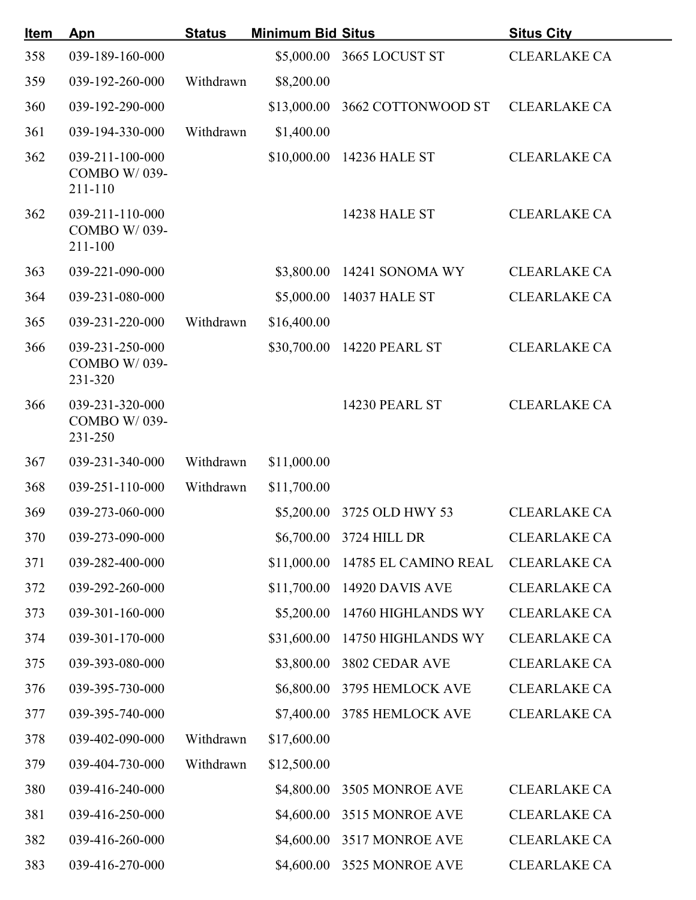| <u>Item</u> | Apn                                        | <b>Status</b> | <b>Minimum Bid Situs</b> |                                  | <b>Situs City</b>   |
|-------------|--------------------------------------------|---------------|--------------------------|----------------------------------|---------------------|
| 358         | 039-189-160-000                            |               |                          | \$5,000.00 3665 LOCUST ST        | <b>CLEARLAKE CA</b> |
| 359         | 039-192-260-000                            | Withdrawn     | \$8,200.00               |                                  |                     |
| 360         | 039-192-290-000                            |               |                          | \$13,000.00 3662 COTTONWOOD ST   | <b>CLEARLAKE CA</b> |
| 361         | 039-194-330-000                            | Withdrawn     | \$1,400.00               |                                  |                     |
| 362         | 039-211-100-000<br>COMBO W/039-<br>211-110 |               |                          | \$10,000.00 14236 HALE ST        | <b>CLEARLAKE CA</b> |
| 362         | 039-211-110-000<br>COMBO W/039-<br>211-100 |               |                          | <b>14238 HALE ST</b>             | <b>CLEARLAKE CA</b> |
| 363         | 039-221-090-000                            |               |                          | \$3,800.00 14241 SONOMA WY       | <b>CLEARLAKE CA</b> |
| 364         | 039-231-080-000                            |               |                          | \$5,000.00 14037 HALE ST         | <b>CLEARLAKE CA</b> |
| 365         | 039-231-220-000                            | Withdrawn     | \$16,400.00              |                                  |                     |
| 366         | 039-231-250-000<br>COMBO W/039-<br>231-320 |               |                          | \$30,700.00 14220 PEARL ST       | <b>CLEARLAKE CA</b> |
| 366         | 039-231-320-000<br>COMBO W/039-<br>231-250 |               |                          | 14230 PEARL ST                   | <b>CLEARLAKE CA</b> |
| 367         | 039-231-340-000                            | Withdrawn     | \$11,000.00              |                                  |                     |
| 368         | 039-251-110-000                            | Withdrawn     | \$11,700.00              |                                  |                     |
| 369         | 039-273-060-000                            |               |                          | \$5,200.00 3725 OLD HWY 53       | <b>CLEARLAKE CA</b> |
| 370         | 039-273-090-000                            |               |                          | \$6,700.00 3724 HILL DR          | <b>CLEARLAKE CA</b> |
| 371         | 039-282-400-000                            |               |                          | \$11,000.00 14785 EL CAMINO REAL | <b>CLEARLAKE CA</b> |
| 372         | 039-292-260-000                            |               |                          | \$11,700.00 14920 DAVIS AVE      | <b>CLEARLAKE CA</b> |
| 373         | 039-301-160-000                            |               |                          | \$5,200.00 14760 HIGHLANDS WY    | <b>CLEARLAKE CA</b> |
| 374         | 039-301-170-000                            |               |                          | \$31,600.00 14750 HIGHLANDS WY   | <b>CLEARLAKE CA</b> |
| 375         | 039-393-080-000                            |               |                          | \$3,800.00 3802 CEDAR AVE        | <b>CLEARLAKE CA</b> |
| 376         | 039-395-730-000                            |               |                          | \$6,800.00 3795 HEMLOCK AVE      | <b>CLEARLAKE CA</b> |
| 377         | 039-395-740-000                            |               |                          | \$7,400.00 3785 HEMLOCK AVE      | <b>CLEARLAKE CA</b> |
| 378         | 039-402-090-000                            | Withdrawn     | \$17,600.00              |                                  |                     |
| 379         | 039-404-730-000                            | Withdrawn     | \$12,500.00              |                                  |                     |
| 380         | 039-416-240-000                            |               |                          | \$4,800.00 3505 MONROE AVE       | <b>CLEARLAKE CA</b> |
| 381         | 039-416-250-000                            |               |                          | \$4,600.00 3515 MONROE AVE       | <b>CLEARLAKE CA</b> |
| 382         | 039-416-260-000                            |               |                          | \$4,600.00 3517 MONROE AVE       | <b>CLEARLAKE CA</b> |
| 383         | 039-416-270-000                            |               |                          | \$4,600.00 3525 MONROE AVE       | <b>CLEARLAKE CA</b> |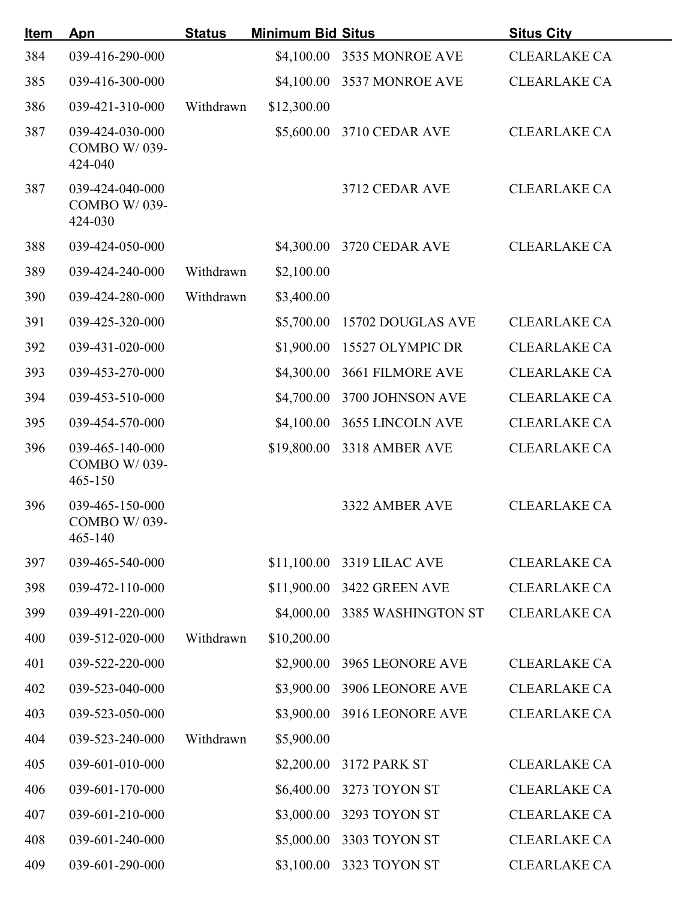| <u>Item</u> | Apn                                            | <b>Status</b> | <b>Minimum Bid Situs</b> |                               | <b>Situs City</b>   |
|-------------|------------------------------------------------|---------------|--------------------------|-------------------------------|---------------------|
| 384         | 039-416-290-000                                |               |                          | \$4,100.00 3535 MONROE AVE    | <b>CLEARLAKE CA</b> |
| 385         | 039-416-300-000                                |               |                          | \$4,100.00 3537 MONROE AVE    | <b>CLEARLAKE CA</b> |
| 386         | 039-421-310-000                                | Withdrawn     | \$12,300.00              |                               |                     |
| 387         | 039-424-030-000<br>COMBO W/039-<br>424-040     |               |                          | \$5,600.00 3710 CEDAR AVE     | <b>CLEARLAKE CA</b> |
| 387         | 039-424-040-000<br>COMBO W/039-<br>424-030     |               |                          | 3712 CEDAR AVE                | <b>CLEARLAKE CA</b> |
| 388         | 039-424-050-000                                |               |                          | \$4,300.00 3720 CEDAR AVE     | <b>CLEARLAKE CA</b> |
| 389         | 039-424-240-000                                | Withdrawn     | \$2,100.00               |                               |                     |
| 390         | 039-424-280-000                                | Withdrawn     | \$3,400.00               |                               |                     |
| 391         | 039-425-320-000                                |               | \$5,700.00               | 15702 DOUGLAS AVE             | <b>CLEARLAKE CA</b> |
| 392         | 039-431-020-000                                |               |                          | \$1,900.00 15527 OLYMPIC DR   | <b>CLEARLAKE CA</b> |
| 393         | 039-453-270-000                                |               |                          | \$4,300.00 3661 FILMORE AVE   | <b>CLEARLAKE CA</b> |
| 394         | 039-453-510-000                                |               |                          | \$4,700.00 3700 JOHNSON AVE   | <b>CLEARLAKE CA</b> |
| 395         | 039-454-570-000                                |               |                          | \$4,100.00 3655 LINCOLN AVE   | <b>CLEARLAKE CA</b> |
| 396         | 039-465-140-000<br>COMBO W/039-<br>$465 - 150$ |               |                          | \$19,800.00 3318 AMBER AVE    | <b>CLEARLAKE CA</b> |
| 396         | 039-465-150-000<br>COMBO W/039-<br>465-140     |               |                          | 3322 AMBER AVE                | <b>CLEARLAKE CA</b> |
| 397         | 039-465-540-000                                |               |                          | \$11,100.00 3319 LILAC AVE    | <b>CLEARLAKE CA</b> |
| 398         | 039-472-110-000                                |               |                          | \$11,900.00 3422 GREEN AVE    | <b>CLEARLAKE CA</b> |
| 399         | 039-491-220-000                                |               |                          | \$4,000.00 3385 WASHINGTON ST | <b>CLEARLAKE CA</b> |
| 400         | 039-512-020-000                                | Withdrawn     | \$10,200.00              |                               |                     |
| 401         | 039-522-220-000                                |               |                          | \$2,900.00 3965 LEONORE AVE   | <b>CLEARLAKE CA</b> |
| 402         | 039-523-040-000                                |               |                          | \$3,900.00 3906 LEONORE AVE   | <b>CLEARLAKE CA</b> |
| 403         | 039-523-050-000                                |               |                          | \$3,900.00 3916 LEONORE AVE   | <b>CLEARLAKE CA</b> |
| 404         | 039-523-240-000                                | Withdrawn     | \$5,900.00               |                               |                     |
| 405         | 039-601-010-000                                |               |                          | \$2,200.00 3172 PARK ST       | <b>CLEARLAKE CA</b> |
| 406         | 039-601-170-000                                |               |                          | \$6,400.00 3273 TOYON ST      | <b>CLEARLAKE CA</b> |
| 407         | 039-601-210-000                                |               |                          | \$3,000.00 3293 TOYON ST      | <b>CLEARLAKE CA</b> |
| 408         | 039-601-240-000                                |               |                          | \$5,000.00 3303 TOYON ST      | <b>CLEARLAKE CA</b> |
| 409         | 039-601-290-000                                |               |                          | \$3,100.00 3323 TOYON ST      | <b>CLEARLAKE CA</b> |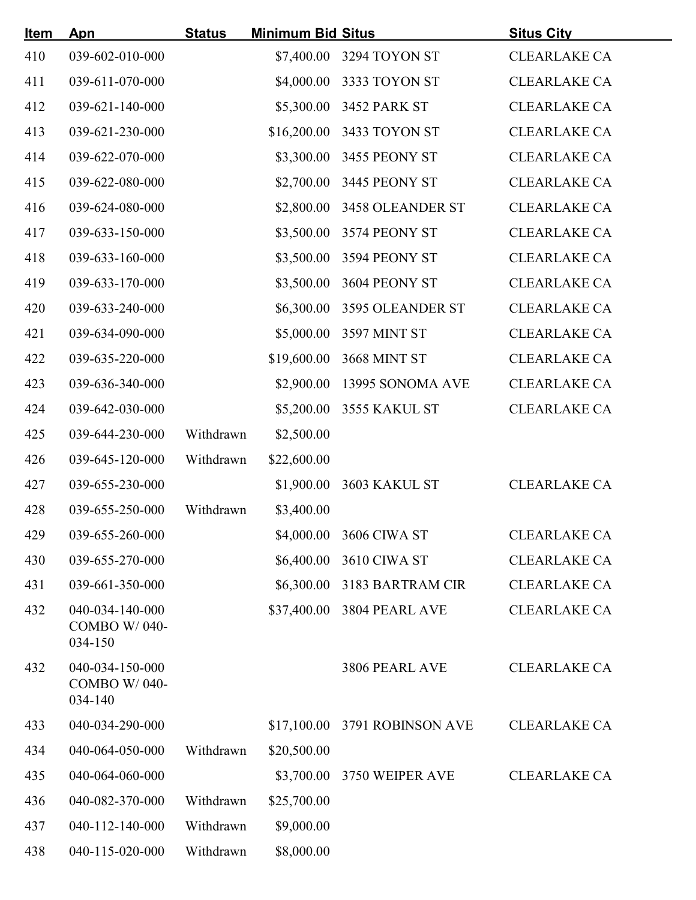| <u>Item</u> | Apn                                            | <b>Status</b> | <b>Minimum Bid Situs</b> |                                      | <b>Situs City</b>   |
|-------------|------------------------------------------------|---------------|--------------------------|--------------------------------------|---------------------|
| 410         | 039-602-010-000                                |               |                          | \$7,400.00 3294 TOYON ST             | <b>CLEARLAKE CA</b> |
| 411         | 039-611-070-000                                |               |                          | \$4,000.00 3333 TOYON ST             | <b>CLEARLAKE CA</b> |
| 412         | 039-621-140-000                                |               |                          | \$5,300.00 3452 PARK ST              | <b>CLEARLAKE CA</b> |
| 413         | 039-621-230-000                                |               |                          | \$16,200.00 3433 TOYON ST            | <b>CLEARLAKE CA</b> |
| 414         | 039-622-070-000                                |               |                          | \$3,300.00 3455 PEONY ST             | <b>CLEARLAKE CA</b> |
| 415         | 039-622-080-000                                |               |                          | \$2,700.00 3445 PEONY ST             | <b>CLEARLAKE CA</b> |
| 416         | 039-624-080-000                                |               |                          | \$2,800.00 3458 OLEANDER ST          | <b>CLEARLAKE CA</b> |
| 417         | 039-633-150-000                                |               |                          | \$3,500.00 3574 PEONY ST             | <b>CLEARLAKE CA</b> |
| 418         | 039-633-160-000                                |               |                          | \$3,500.00 3594 PEONY ST             | <b>CLEARLAKE CA</b> |
| 419         | 039-633-170-000                                |               |                          | \$3,500.00 3604 PEONY ST             | <b>CLEARLAKE CA</b> |
| 420         | 039-633-240-000                                |               |                          | \$6,300.00 3595 OLEANDER ST          | <b>CLEARLAKE CA</b> |
| 421         | 039-634-090-000                                |               |                          | \$5,000.00 3597 MINT ST              | <b>CLEARLAKE CA</b> |
| 422         | 039-635-220-000                                |               |                          | \$19,600.00 3668 MINT ST             | <b>CLEARLAKE CA</b> |
| 423         | 039-636-340-000                                |               |                          | \$2,900.00 13995 SONOMA AVE          | <b>CLEARLAKE CA</b> |
| 424         | 039-642-030-000                                |               |                          | \$5,200.00 3555 KAKUL ST             | <b>CLEARLAKE CA</b> |
| 425         | 039-644-230-000                                | Withdrawn     | \$2,500.00               |                                      |                     |
| 426         | 039-645-120-000                                | Withdrawn     | \$22,600.00              |                                      |                     |
| 427         | 039-655-230-000                                |               |                          | \$1,900.00 3603 KAKUL ST             | <b>CLEARLAKE CA</b> |
| 428         | 039-655-250-000                                | Withdrawn     | \$3,400.00               |                                      |                     |
| 429         | 039-655-260-000                                |               |                          | \$4,000.00 3606 CIWA ST CLEARLAKE CA |                     |
| 430         | 039-655-270-000                                |               |                          | \$6,400.00 3610 CIWA ST              | <b>CLEARLAKE CA</b> |
| 431         | 039-661-350-000                                |               |                          | \$6,300.00 3183 BARTRAM CIR          | <b>CLEARLAKE CA</b> |
| 432         | 040-034-140-000<br>COMBO W/040-<br>034-150     |               |                          | \$37,400.00 3804 PEARL AVE           | <b>CLEARLAKE CA</b> |
| 432         | 040-034-150-000<br>COMBO W/040-<br>$034 - 140$ |               |                          | 3806 PEARL AVE                       | <b>CLEARLAKE CA</b> |
| 433         | 040-034-290-000                                |               |                          | \$17,100.00 3791 ROBINSON AVE        | <b>CLEARLAKE CA</b> |
| 434         | 040-064-050-000                                | Withdrawn     | \$20,500.00              |                                      |                     |
| 435         | 040-064-060-000                                |               |                          | \$3,700.00 3750 WEIPER AVE           | <b>CLEARLAKE CA</b> |
| 436         | 040-082-370-000                                | Withdrawn     | \$25,700.00              |                                      |                     |
| 437         | 040-112-140-000                                | Withdrawn     | \$9,000.00               |                                      |                     |
| 438         | 040-115-020-000                                | Withdrawn     | \$8,000.00               |                                      |                     |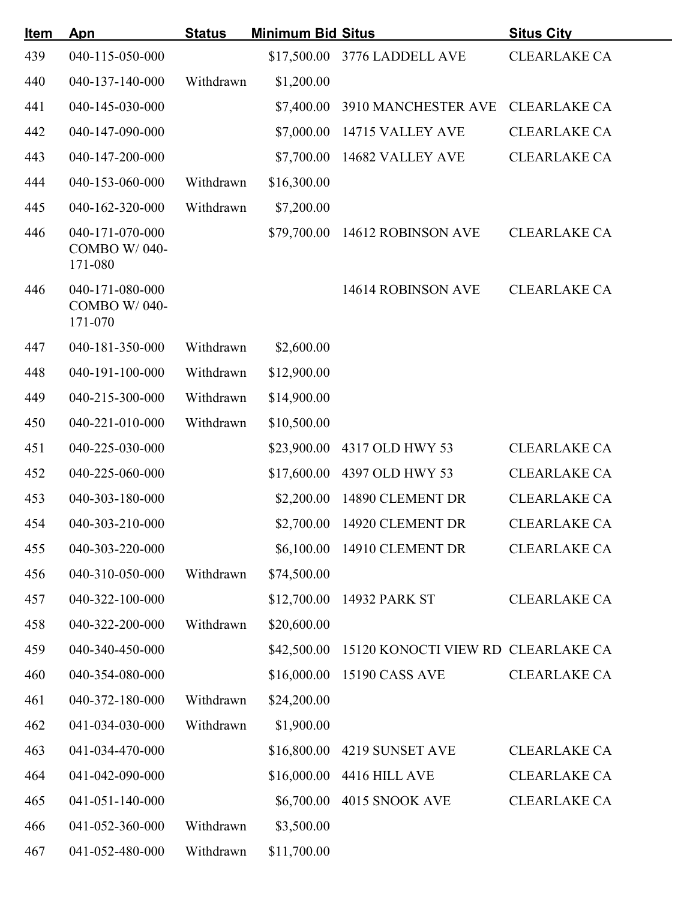| <u>Item</u> | Apn                                        | <b>Status</b> | <b>Minimum Bid Situs</b> |                                                | <b>Situs City</b>   |  |
|-------------|--------------------------------------------|---------------|--------------------------|------------------------------------------------|---------------------|--|
| 439         | 040-115-050-000                            |               |                          | \$17,500.00 3776 LADDELL AVE                   | <b>CLEARLAKE CA</b> |  |
| 440         | 040-137-140-000                            | Withdrawn     | \$1,200.00               |                                                |                     |  |
| 441         | 040-145-030-000                            |               |                          | \$7,400.00 3910 MANCHESTER AVE                 | <b>CLEARLAKE CA</b> |  |
| 442         | 040-147-090-000                            |               |                          | \$7,000.00 14715 VALLEY AVE                    | <b>CLEARLAKE CA</b> |  |
| 443         | 040-147-200-000                            |               |                          | \$7,700.00 14682 VALLEY AVE                    | <b>CLEARLAKE CA</b> |  |
| 444         | 040-153-060-000                            | Withdrawn     | \$16,300.00              |                                                |                     |  |
| 445         | 040-162-320-000                            | Withdrawn     | \$7,200.00               |                                                |                     |  |
| 446         | 040-171-070-000<br>COMBO W/040-<br>171-080 |               |                          | \$79,700.00 14612 ROBINSON AVE                 | <b>CLEARLAKE CA</b> |  |
| 446         | 040-171-080-000<br>COMBO W/040-<br>171-070 |               |                          | 14614 ROBINSON AVE                             | <b>CLEARLAKE CA</b> |  |
| 447         | 040-181-350-000                            | Withdrawn     | \$2,600.00               |                                                |                     |  |
| 448         | 040-191-100-000                            | Withdrawn     | \$12,900.00              |                                                |                     |  |
| 449         | 040-215-300-000                            | Withdrawn     | \$14,900.00              |                                                |                     |  |
| 450         | 040-221-010-000                            | Withdrawn     | \$10,500.00              |                                                |                     |  |
| 451         | 040-225-030-000                            |               |                          | \$23,900.00 4317 OLD HWY 53                    | <b>CLEARLAKE CA</b> |  |
| 452         | 040-225-060-000                            |               | \$17,600.00              | 4397 OLD HWY 53                                | <b>CLEARLAKE CA</b> |  |
| 453         | 040-303-180-000                            |               | \$2,200.00               | 14890 CLEMENT DR                               | <b>CLEARLAKE CA</b> |  |
| 454         | 040-303-210-000                            |               |                          | \$2,700.00 14920 CLEMENT DR                    | <b>CLEARLAKE CA</b> |  |
| 455         | 040-303-220-000                            |               |                          | \$6,100.00 14910 CLEMENT DR                    | <b>CLEARLAKE CA</b> |  |
| 456         | 040-310-050-000                            | Withdrawn     | \$74,500.00              |                                                |                     |  |
| 457         | 040-322-100-000                            |               |                          | \$12,700.00 14932 PARK ST                      | <b>CLEARLAKE CA</b> |  |
| 458         | 040-322-200-000                            | Withdrawn     | \$20,600.00              |                                                |                     |  |
| 459         | 040-340-450-000                            |               |                          | \$42,500.00 15120 KONOCTI VIEW RD CLEARLAKE CA |                     |  |
| 460         | 040-354-080-000                            |               |                          | \$16,000.00 15190 CASS AVE                     | <b>CLEARLAKE CA</b> |  |
| 461         | 040-372-180-000                            | Withdrawn     | \$24,200.00              |                                                |                     |  |
| 462         | 041-034-030-000                            | Withdrawn     | \$1,900.00               |                                                |                     |  |
| 463         | 041-034-470-000                            |               |                          | \$16,800.00 4219 SUNSET AVE                    | <b>CLEARLAKE CA</b> |  |
| 464         | 041-042-090-000                            |               |                          | \$16,000.00 4416 HILL AVE                      | <b>CLEARLAKE CA</b> |  |
| 465         | 041-051-140-000                            |               |                          | \$6,700.00 4015 SNOOK AVE                      | <b>CLEARLAKE CA</b> |  |
| 466         | 041-052-360-000                            | Withdrawn     | \$3,500.00               |                                                |                     |  |
| 467         | 041-052-480-000                            | Withdrawn     | \$11,700.00              |                                                |                     |  |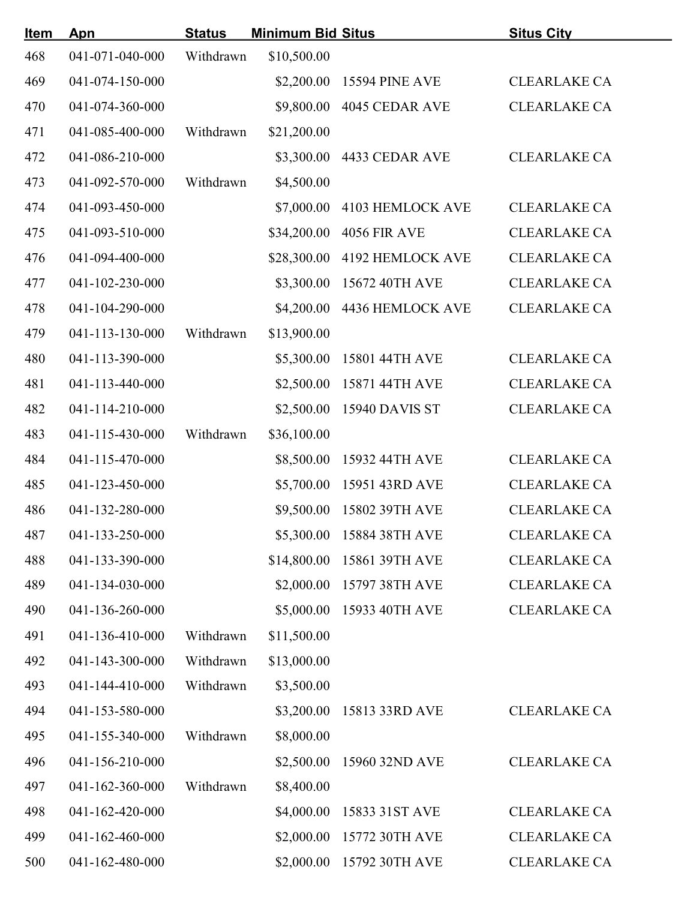| <u>Item</u> | Apn             | <b>Status</b> | <b>Minimum Bid Situs</b> |                              | <b>Situs City</b>   |
|-------------|-----------------|---------------|--------------------------|------------------------------|---------------------|
| 468         | 041-071-040-000 | Withdrawn     | \$10,500.00              |                              |                     |
| 469         | 041-074-150-000 |               |                          | \$2,200.00 15594 PINE AVE    | <b>CLEARLAKE CA</b> |
| 470         | 041-074-360-000 |               |                          | \$9,800.00 4045 CEDAR AVE    | <b>CLEARLAKE CA</b> |
| 471         | 041-085-400-000 | Withdrawn     | \$21,200.00              |                              |                     |
| 472         | 041-086-210-000 |               |                          | \$3,300.00 4433 CEDAR AVE    | <b>CLEARLAKE CA</b> |
| 473         | 041-092-570-000 | Withdrawn     | \$4,500.00               |                              |                     |
| 474         | 041-093-450-000 |               |                          | \$7,000.00 4103 HEMLOCK AVE  | <b>CLEARLAKE CA</b> |
| 475         | 041-093-510-000 |               |                          | \$34,200.00 4056 FIR AVE     | <b>CLEARLAKE CA</b> |
| 476         | 041-094-400-000 |               |                          | \$28,300.00 4192 HEMLOCK AVE | <b>CLEARLAKE CA</b> |
| 477         | 041-102-230-000 |               |                          | \$3,300.00 15672 40TH AVE    | <b>CLEARLAKE CA</b> |
| 478         | 041-104-290-000 |               |                          | \$4,200.00 4436 HEMLOCK AVE  | <b>CLEARLAKE CA</b> |
| 479         | 041-113-130-000 | Withdrawn     | \$13,900.00              |                              |                     |
| 480         | 041-113-390-000 |               |                          | \$5,300.00 15801 44TH AVE    | <b>CLEARLAKE CA</b> |
| 481         | 041-113-440-000 |               |                          | \$2,500.00 15871 44TH AVE    | <b>CLEARLAKE CA</b> |
| 482         | 041-114-210-000 |               |                          | \$2,500.00 15940 DAVIS ST    | <b>CLEARLAKE CA</b> |
| 483         | 041-115-430-000 | Withdrawn     | \$36,100.00              |                              |                     |
| 484         | 041-115-470-000 |               |                          | \$8,500.00 15932 44TH AVE    | <b>CLEARLAKE CA</b> |
| 485         | 041-123-450-000 |               |                          | \$5,700.00 15951 43RD AVE    | <b>CLEARLAKE CA</b> |
| 486         | 041-132-280-000 |               |                          | \$9,500.00 15802 39TH AVE    | <b>CLEARLAKE CA</b> |
| 487         | 041-133-250-000 |               |                          | \$5,300.00 15884 38TH AVE    | <b>CLEARLAKE CA</b> |
| 488         | 041-133-390-000 |               |                          | \$14,800.00 15861 39TH AVE   | <b>CLEARLAKE CA</b> |
| 489         | 041-134-030-000 |               |                          | \$2,000.00 15797 38TH AVE    | <b>CLEARLAKE CA</b> |
| 490         | 041-136-260-000 |               |                          | \$5,000.00 15933 40TH AVE    | <b>CLEARLAKE CA</b> |
| 491         | 041-136-410-000 | Withdrawn     | \$11,500.00              |                              |                     |
| 492         | 041-143-300-000 | Withdrawn     | \$13,000.00              |                              |                     |
| 493         | 041-144-410-000 | Withdrawn     | \$3,500.00               |                              |                     |
| 494         | 041-153-580-000 |               |                          | \$3,200.00 15813 33RD AVE    | <b>CLEARLAKE CA</b> |
| 495         | 041-155-340-000 | Withdrawn     | \$8,000.00               |                              |                     |
| 496         | 041-156-210-000 |               |                          | \$2,500.00 15960 32ND AVE    | <b>CLEARLAKE CA</b> |
| 497         | 041-162-360-000 | Withdrawn     | \$8,400.00               |                              |                     |
| 498         | 041-162-420-000 |               | \$4,000.00               | 15833 31ST AVE               | <b>CLEARLAKE CA</b> |
| 499         | 041-162-460-000 |               |                          | \$2,000.00 15772 30TH AVE    | <b>CLEARLAKE CA</b> |
| 500         | 041-162-480-000 |               |                          | \$2,000.00 15792 30TH AVE    | <b>CLEARLAKE CA</b> |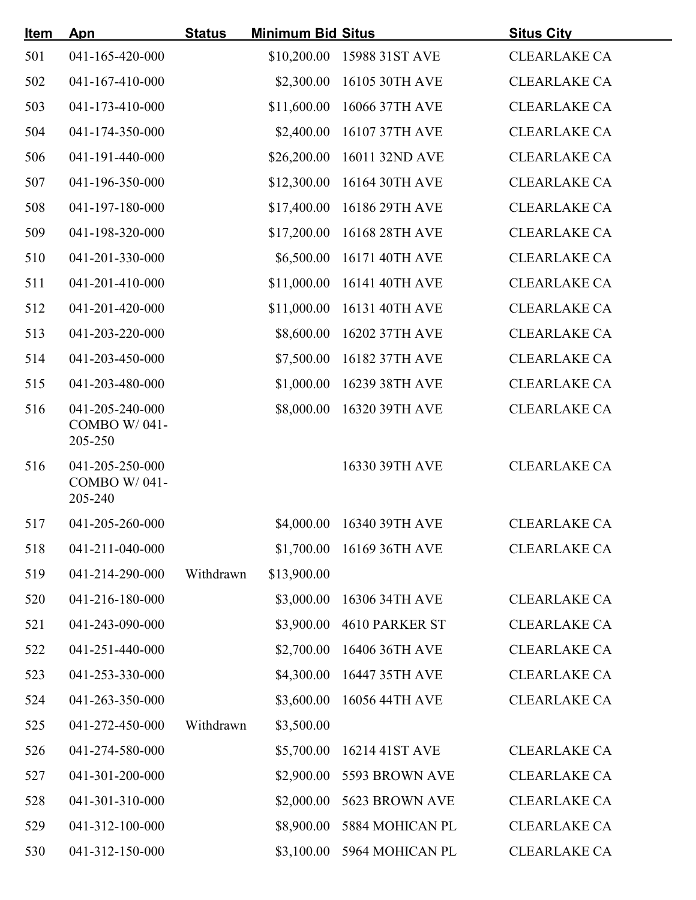| <u>Item</u> | Apn                                        | <b>Status</b> | <b>Minimum Bid Situs</b> |                            | <b>Situs City</b>   |  |
|-------------|--------------------------------------------|---------------|--------------------------|----------------------------|---------------------|--|
| 501         | 041-165-420-000                            |               |                          | \$10,200.00 15988 31ST AVE | <b>CLEARLAKE CA</b> |  |
| 502         | 041-167-410-000                            |               | \$2,300.00               | 16105 30TH AVE             | <b>CLEARLAKE CA</b> |  |
| 503         | 041-173-410-000                            |               | \$11,600.00              | 16066 37TH AVE             | <b>CLEARLAKE CA</b> |  |
| 504         | 041-174-350-000                            |               | \$2,400.00               | 16107 37TH AVE             | <b>CLEARLAKE CA</b> |  |
| 506         | 041-191-440-000                            |               |                          | \$26,200.00 16011 32ND AVE | <b>CLEARLAKE CA</b> |  |
| 507         | 041-196-350-000                            |               |                          | \$12,300.00 16164 30TH AVE | <b>CLEARLAKE CA</b> |  |
| 508         | 041-197-180-000                            |               |                          | \$17,400.00 16186 29TH AVE | <b>CLEARLAKE CA</b> |  |
| 509         | 041-198-320-000                            |               |                          | \$17,200.00 16168 28TH AVE | <b>CLEARLAKE CA</b> |  |
| 510         | 041-201-330-000                            |               | \$6,500.00               | 16171 40TH AVE             | <b>CLEARLAKE CA</b> |  |
| 511         | 041-201-410-000                            |               | \$11,000.00              | 16141 40TH AVE             | <b>CLEARLAKE CA</b> |  |
| 512         | 041-201-420-000                            |               | \$11,000.00              | 16131 40TH AVE             | <b>CLEARLAKE CA</b> |  |
| 513         | 041-203-220-000                            |               |                          | \$8,600.00 16202 37TH AVE  | <b>CLEARLAKE CA</b> |  |
| 514         | 041-203-450-000                            |               |                          | \$7,500.00 16182 37TH AVE  | <b>CLEARLAKE CA</b> |  |
| 515         | 041-203-480-000                            |               |                          | \$1,000.00 16239 38TH AVE  | <b>CLEARLAKE CA</b> |  |
| 516         | 041-205-240-000<br>COMBO W/041-<br>205-250 |               |                          | \$8,000.00 16320 39TH AVE  | <b>CLEARLAKE CA</b> |  |
| 516         | 041-205-250-000<br>COMBO W/041-<br>205-240 |               |                          | 16330 39TH AVE             | <b>CLEARLAKE CA</b> |  |
| 517         | 041-205-260-000                            |               |                          | \$4,000.00 16340 39TH AVE  | <b>CLEARLAKE CA</b> |  |
| 518         | 041-211-040-000                            |               |                          | \$1,700.00 16169 36TH AVE  | <b>CLEARLAKE CA</b> |  |
| 519         | 041-214-290-000                            | Withdrawn     | \$13,900.00              |                            |                     |  |
| 520         | 041-216-180-000                            |               |                          | \$3,000.00 16306 34TH AVE  | <b>CLEARLAKE CA</b> |  |
| 521         | 041-243-090-000                            |               |                          | \$3,900.00 4610 PARKER ST  | <b>CLEARLAKE CA</b> |  |
| 522         | 041-251-440-000                            |               |                          | \$2,700.00 16406 36TH AVE  | <b>CLEARLAKE CA</b> |  |
| 523         | 041-253-330-000                            |               | \$4,300.00               | 16447 35TH AVE             | <b>CLEARLAKE CA</b> |  |
| 524         | 041-263-350-000                            |               | \$3,600.00               | 16056 44TH AVE             | <b>CLEARLAKE CA</b> |  |
| 525         | 041-272-450-000                            | Withdrawn     | \$3,500.00               |                            |                     |  |
| 526         | 041-274-580-000                            |               |                          | \$5,700.00 16214 41ST AVE  | <b>CLEARLAKE CA</b> |  |
| 527         | 041-301-200-000                            |               |                          | \$2,900.00 5593 BROWN AVE  | <b>CLEARLAKE CA</b> |  |
| 528         | 041-301-310-000                            |               |                          | \$2,000.00 5623 BROWN AVE  | <b>CLEARLAKE CA</b> |  |
| 529         | 041-312-100-000                            |               | \$8,900.00               | 5884 MOHICAN PL            | <b>CLEARLAKE CA</b> |  |
| 530         | 041-312-150-000                            |               |                          | \$3,100.00 5964 MOHICAN PL | <b>CLEARLAKE CA</b> |  |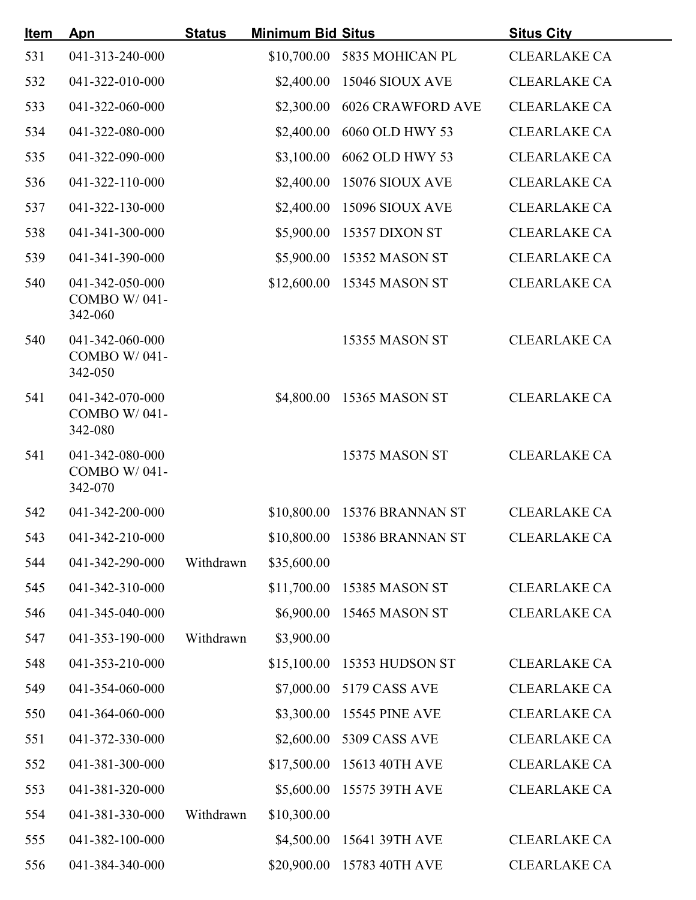| <u>Item</u> | Apn                                               | <b>Status</b> | <b>Minimum Bid Situs</b> |                              | <b>Situs City</b>   |  |
|-------------|---------------------------------------------------|---------------|--------------------------|------------------------------|---------------------|--|
| 531         | 041-313-240-000                                   |               |                          | \$10,700.00 5835 MOHICAN PL  | <b>CLEARLAKE CA</b> |  |
| 532         | 041-322-010-000                                   |               |                          | \$2,400.00 15046 SIOUX AVE   | <b>CLEARLAKE CA</b> |  |
| 533         | 041-322-060-000                                   |               |                          | \$2,300.00 6026 CRAWFORD AVE | <b>CLEARLAKE CA</b> |  |
| 534         | 041-322-080-000                                   |               | \$2,400.00               | 6060 OLD HWY 53              | <b>CLEARLAKE CA</b> |  |
| 535         | 041-322-090-000                                   |               |                          | \$3,100.00 6062 OLD HWY 53   | <b>CLEARLAKE CA</b> |  |
| 536         | 041-322-110-000                                   |               |                          | \$2,400.00 15076 SIOUX AVE   | <b>CLEARLAKE CA</b> |  |
| 537         | 041-322-130-000                                   |               |                          | \$2,400.00 15096 SIOUX AVE   | <b>CLEARLAKE CA</b> |  |
| 538         | 041-341-300-000                                   |               |                          | \$5,900.00 15357 DIXON ST    | <b>CLEARLAKE CA</b> |  |
| 539         | 041-341-390-000                                   |               |                          | \$5,900.00 15352 MASON ST    | <b>CLEARLAKE CA</b> |  |
| 540         | 041-342-050-000<br><b>COMBO W/041-</b><br>342-060 |               |                          | \$12,600.00 15345 MASON ST   | <b>CLEARLAKE CA</b> |  |
| 540         | 041-342-060-000<br><b>COMBO W/041-</b><br>342-050 |               |                          | <b>15355 MASON ST</b>        | <b>CLEARLAKE CA</b> |  |
| 541         | 041-342-070-000<br>COMBO W/041-<br>342-080        |               |                          | \$4,800.00 15365 MASON ST    | <b>CLEARLAKE CA</b> |  |
| 541         | 041-342-080-000<br>COMBO W/041-<br>342-070        |               |                          | <b>15375 MASON ST</b>        | <b>CLEARLAKE CA</b> |  |
| 542         | 041-342-200-000                                   |               |                          | \$10,800.00 15376 BRANNAN ST | <b>CLEARLAKE CA</b> |  |
| 543         | 041-342-210-000                                   |               |                          | \$10,800.00 15386 BRANNAN ST | <b>CLEARLAKE CA</b> |  |
| 544         | 041-342-290-000                                   | Withdrawn     | \$35,600.00              |                              |                     |  |
| 545         | 041-342-310-000                                   |               |                          | \$11,700.00 15385 MASON ST   | <b>CLEARLAKE CA</b> |  |
| 546         | 041-345-040-000                                   |               |                          | \$6,900.00 15465 MASON ST    | <b>CLEARLAKE CA</b> |  |
| 547         | 041-353-190-000                                   | Withdrawn     | \$3,900.00               |                              |                     |  |
| 548         | 041-353-210-000                                   |               |                          | \$15,100.00 15353 HUDSON ST  | <b>CLEARLAKE CA</b> |  |
| 549         | 041-354-060-000                                   |               |                          | \$7,000.00 5179 CASS AVE     | <b>CLEARLAKE CA</b> |  |
| 550         | 041-364-060-000                                   |               |                          | \$3,300.00 15545 PINE AVE    | <b>CLEARLAKE CA</b> |  |
| 551         | 041-372-330-000                                   |               |                          | \$2,600.00 5309 CASS AVE     | <b>CLEARLAKE CA</b> |  |
| 552         | 041-381-300-000                                   |               |                          | \$17,500.00 15613 40TH AVE   | <b>CLEARLAKE CA</b> |  |
| 553         | 041-381-320-000                                   |               |                          | \$5,600.00 15575 39TH AVE    | <b>CLEARLAKE CA</b> |  |
| 554         | 041-381-330-000                                   | Withdrawn     | \$10,300.00              |                              |                     |  |
| 555         | 041-382-100-000                                   |               |                          | \$4,500.00 15641 39TH AVE    | <b>CLEARLAKE CA</b> |  |
| 556         | 041-384-340-000                                   |               |                          | \$20,900.00 15783 40TH AVE   | <b>CLEARLAKE CA</b> |  |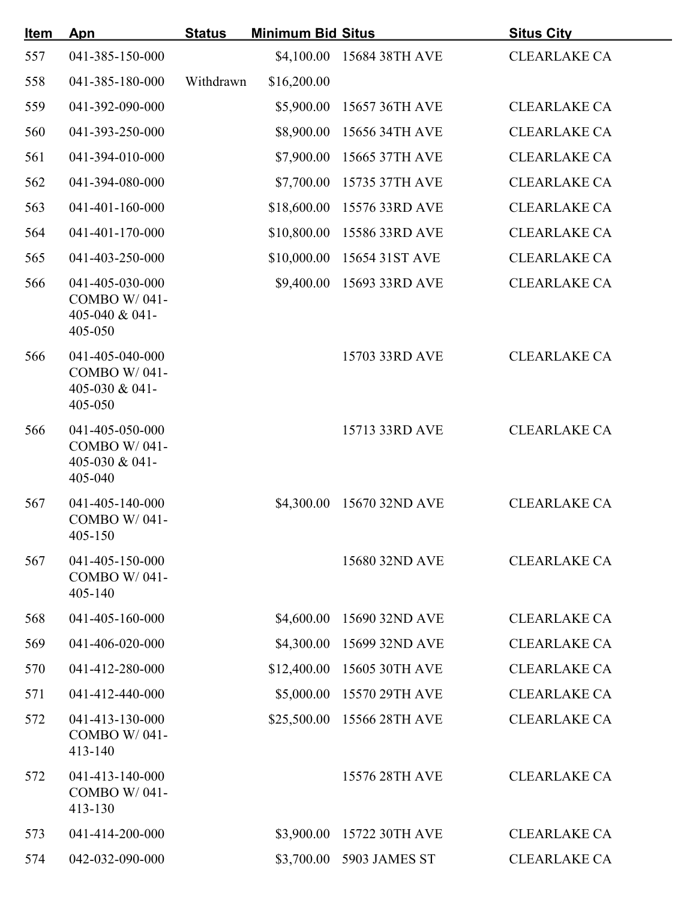| <u>Item</u> | Apn                                                                 | <b>Status</b> | <b>Minimum Bid Situs</b> |                            | <b>Situs City</b>   |
|-------------|---------------------------------------------------------------------|---------------|--------------------------|----------------------------|---------------------|
| 557         | 041-385-150-000                                                     |               |                          | \$4,100.00 15684 38TH AVE  | <b>CLEARLAKE CA</b> |
| 558         | 041-385-180-000                                                     | Withdrawn     | \$16,200.00              |                            |                     |
| 559         | 041-392-090-000                                                     |               | \$5,900.00               | 15657 36TH AVE             | <b>CLEARLAKE CA</b> |
| 560         | 041-393-250-000                                                     |               | \$8,900.00               | 15656 34TH AVE             | <b>CLEARLAKE CA</b> |
| 561         | 041-394-010-000                                                     |               |                          | \$7,900.00 15665 37TH AVE  | <b>CLEARLAKE CA</b> |
| 562         | 041-394-080-000                                                     |               |                          | \$7,700.00 15735 37TH AVE  | <b>CLEARLAKE CA</b> |
| 563         | 041-401-160-000                                                     |               |                          | \$18,600.00 15576 33RD AVE | <b>CLEARLAKE CA</b> |
| 564         | 041-401-170-000                                                     |               | \$10,800.00              | 15586 33RD AVE             | <b>CLEARLAKE CA</b> |
| 565         | 041-403-250-000                                                     |               | \$10,000.00              | 15654 31ST AVE             | <b>CLEARLAKE CA</b> |
| 566         | 041-405-030-000<br>COMBO W/041-<br>405-040 & 041-<br>405-050        |               |                          | \$9,400.00 15693 33RD AVE  | <b>CLEARLAKE CA</b> |
| 566         | 041-405-040-000<br><b>COMBO W/041-</b><br>405-030 & 041-<br>405-050 |               |                          | 15703 33RD AVE             | <b>CLEARLAKE CA</b> |
| 566         | 041-405-050-000<br>COMBO W/041-<br>405-030 & 041-<br>405-040        |               |                          | 15713 33RD AVE             | <b>CLEARLAKE CA</b> |
| 567         | 041-405-140-000<br>COMBO W/041-<br>405-150                          |               |                          | \$4,300.00 15670 32ND AVE  | <b>CLEARLAKE CA</b> |
| 567         | 041-405-150-000<br><b>COMBO W/041-</b><br>405-140                   |               |                          | 15680 32ND AVE             | <b>CLEARLAKE CA</b> |
| 568         | 041-405-160-000                                                     |               | \$4,600.00               | 15690 32ND AVE             | <b>CLEARLAKE CA</b> |
| 569         | 041-406-020-000                                                     |               |                          | \$4,300.00 15699 32ND AVE  | <b>CLEARLAKE CA</b> |
| 570         | 041-412-280-000                                                     |               | \$12,400.00              | 15605 30TH AVE             | <b>CLEARLAKE CA</b> |
| 571         | 041-412-440-000                                                     |               | \$5,000.00               | 15570 29TH AVE             | <b>CLEARLAKE CA</b> |
| 572         | 041-413-130-000<br>COMBO W/041-<br>413-140                          |               |                          | \$25,500.00 15566 28TH AVE | <b>CLEARLAKE CA</b> |
| 572         | 041-413-140-000<br><b>COMBO W/041-</b><br>413-130                   |               |                          | 15576 28TH AVE             | <b>CLEARLAKE CA</b> |
| 573         | 041-414-200-000                                                     |               |                          | \$3,900.00 15722 30TH AVE  | <b>CLEARLAKE CA</b> |
| 574         | 042-032-090-000                                                     |               |                          | \$3,700.00 5903 JAMES ST   | <b>CLEARLAKE CA</b> |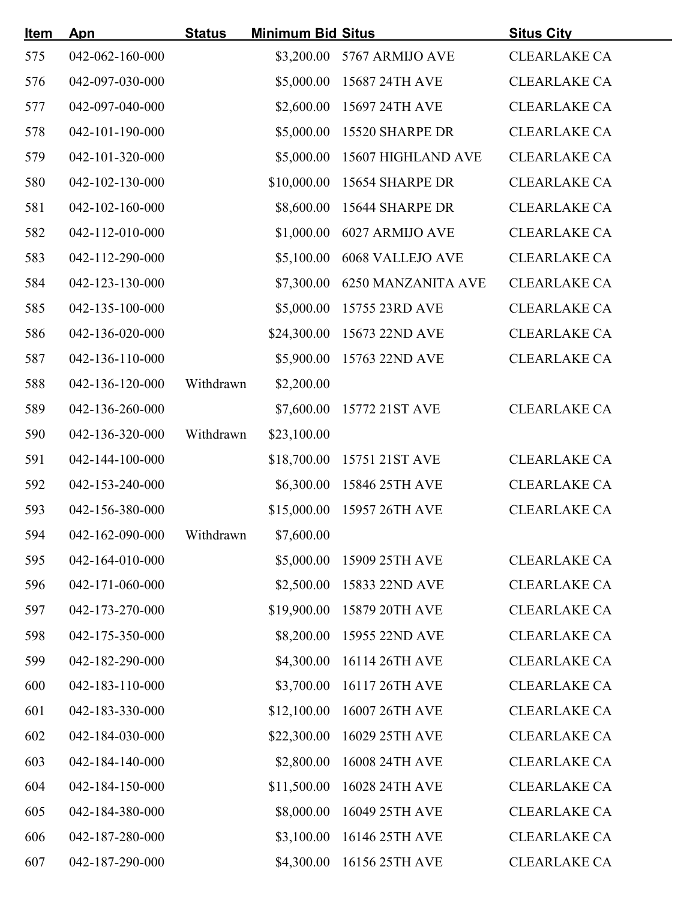| <u>Item</u> | Apn             | <b>Status</b> | <b>Minimum Bid Situs</b> |                               | <b>Situs City</b>   |
|-------------|-----------------|---------------|--------------------------|-------------------------------|---------------------|
| 575         | 042-062-160-000 |               |                          | \$3,200.00 5767 ARMIJO AVE    | <b>CLEARLAKE CA</b> |
| 576         | 042-097-030-000 |               |                          | \$5,000.00 15687 24TH AVE     | <b>CLEARLAKE CA</b> |
| 577         | 042-097-040-000 |               |                          | \$2,600.00 15697 24TH AVE     | <b>CLEARLAKE CA</b> |
| 578         | 042-101-190-000 |               |                          | \$5,000.00 15520 SHARPE DR    | <b>CLEARLAKE CA</b> |
| 579         | 042-101-320-000 |               |                          | \$5,000.00 15607 HIGHLAND AVE | <b>CLEARLAKE CA</b> |
| 580         | 042-102-130-000 |               |                          | \$10,000.00 15654 SHARPE DR   | <b>CLEARLAKE CA</b> |
| 581         | 042-102-160-000 |               |                          | \$8,600.00 15644 SHARPE DR    | <b>CLEARLAKE CA</b> |
| 582         | 042-112-010-000 |               |                          | \$1,000.00 6027 ARMIJO AVE    | <b>CLEARLAKE CA</b> |
| 583         | 042-112-290-000 |               |                          | \$5,100.00 6068 VALLEJO AVE   | <b>CLEARLAKE CA</b> |
| 584         | 042-123-130-000 |               |                          | \$7,300.00 6250 MANZANITA AVE | <b>CLEARLAKE CA</b> |
| 585         | 042-135-100-000 |               |                          | \$5,000.00 15755 23RD AVE     | <b>CLEARLAKE CA</b> |
| 586         | 042-136-020-000 |               |                          | \$24,300.00 15673 22ND AVE    | <b>CLEARLAKE CA</b> |
| 587         | 042-136-110-000 |               |                          | \$5,900.00 15763 22ND AVE     | <b>CLEARLAKE CA</b> |
| 588         | 042-136-120-000 | Withdrawn     | \$2,200.00               |                               |                     |
| 589         | 042-136-260-000 |               |                          | \$7,600.00 15772 21ST AVE     | <b>CLEARLAKE CA</b> |
| 590         | 042-136-320-000 | Withdrawn     | \$23,100.00              |                               |                     |
| 591         | 042-144-100-000 |               |                          | \$18,700.00 15751 21ST AVE    | <b>CLEARLAKE CA</b> |
| 592         | 042-153-240-000 |               |                          | \$6,300.00 15846 25TH AVE     | <b>CLEARLAKE CA</b> |
| 593         | 042-156-380-000 |               |                          | \$15,000.00 15957 26TH AVE    | <b>CLEARLAKE CA</b> |
| 594         | 042-162-090-000 | Withdrawn     | \$7,600.00               |                               |                     |
| 595         | 042-164-010-000 |               |                          | \$5,000.00 15909 25TH AVE     | <b>CLEARLAKE CA</b> |
| 596         | 042-171-060-000 |               |                          | \$2,500.00 15833 22ND AVE     | <b>CLEARLAKE CA</b> |
| 597         | 042-173-270-000 |               |                          | \$19,900.00 15879 20TH AVE    | <b>CLEARLAKE CA</b> |
| 598         | 042-175-350-000 |               |                          | \$8,200.00 15955 22ND AVE     | <b>CLEARLAKE CA</b> |
| 599         | 042-182-290-000 |               | \$4,300.00               | 16114 26TH AVE                | <b>CLEARLAKE CA</b> |
| 600         | 042-183-110-000 |               | \$3,700.00               | 16117 26TH AVE                | <b>CLEARLAKE CA</b> |
| 601         | 042-183-330-000 |               | \$12,100.00              | 16007 26TH AVE                | <b>CLEARLAKE CA</b> |
| 602         | 042-184-030-000 |               | \$22,300.00              | 16029 25TH AVE                | <b>CLEARLAKE CA</b> |
| 603         | 042-184-140-000 |               | \$2,800.00               | 16008 24TH AVE                | <b>CLEARLAKE CA</b> |
| 604         | 042-184-150-000 |               |                          | \$11,500.00 16028 24TH AVE    | <b>CLEARLAKE CA</b> |
| 605         | 042-184-380-000 |               | \$8,000.00               | 16049 25TH AVE                | <b>CLEARLAKE CA</b> |
| 606         | 042-187-280-000 |               | \$3,100.00               | 16146 25TH AVE                | <b>CLEARLAKE CA</b> |
| 607         | 042-187-290-000 |               |                          | \$4,300.00 16156 25TH AVE     | <b>CLEARLAKE CA</b> |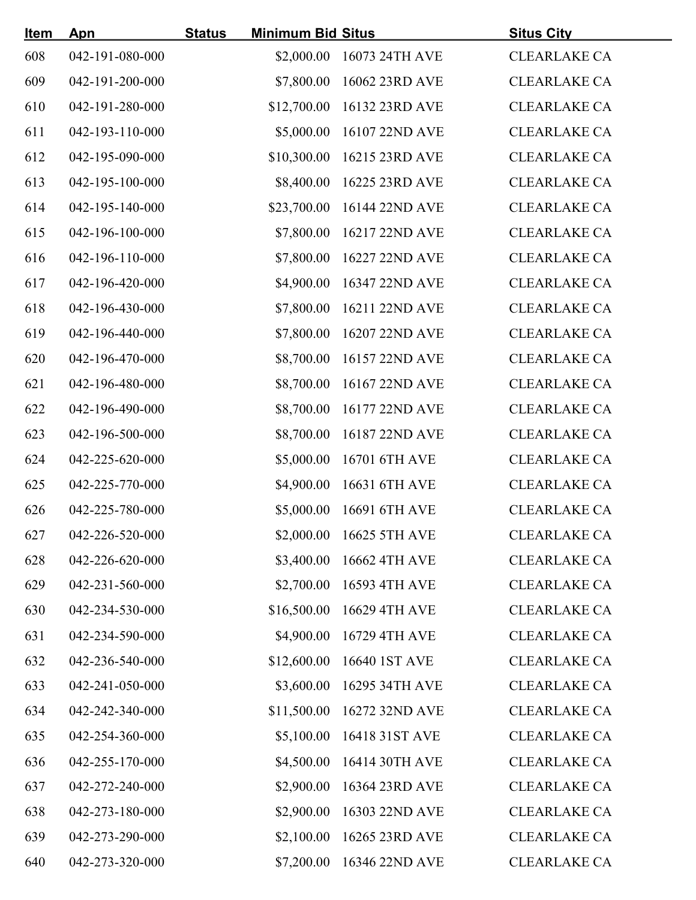| <u>Item</u> | <u>Apn</u>      | <b>Minimum Bid Situs</b><br><b>Status</b> |                            | <b>Situs City</b>   |
|-------------|-----------------|-------------------------------------------|----------------------------|---------------------|
| 608         | 042-191-080-000 |                                           | \$2,000.00 16073 24TH AVE  | <b>CLEARLAKE CA</b> |
| 609         | 042-191-200-000 |                                           | \$7,800.00 16062 23RD AVE  | <b>CLEARLAKE CA</b> |
| 610         | 042-191-280-000 |                                           | \$12,700.00 16132 23RD AVE | <b>CLEARLAKE CA</b> |
| 611         | 042-193-110-000 |                                           | \$5,000.00 16107 22ND AVE  | <b>CLEARLAKE CA</b> |
| 612         | 042-195-090-000 |                                           | \$10,300.00 16215 23RD AVE | <b>CLEARLAKE CA</b> |
| 613         | 042-195-100-000 |                                           | \$8,400.00 16225 23RD AVE  | <b>CLEARLAKE CA</b> |
| 614         | 042-195-140-000 |                                           | \$23,700.00 16144 22ND AVE | <b>CLEARLAKE CA</b> |
| 615         | 042-196-100-000 |                                           | \$7,800.00 16217 22ND AVE  | <b>CLEARLAKE CA</b> |
| 616         | 042-196-110-000 |                                           | \$7,800.00 16227 22ND AVE  | <b>CLEARLAKE CA</b> |
| 617         | 042-196-420-000 |                                           | \$4,900.00 16347 22ND AVE  | <b>CLEARLAKE CA</b> |
| 618         | 042-196-430-000 |                                           | \$7,800.00 16211 22ND AVE  | <b>CLEARLAKE CA</b> |
| 619         | 042-196-440-000 |                                           | \$7,800.00 16207 22ND AVE  | <b>CLEARLAKE CA</b> |
| 620         | 042-196-470-000 |                                           | \$8,700.00 16157 22ND AVE  | <b>CLEARLAKE CA</b> |
| 621         | 042-196-480-000 |                                           | \$8,700.00 16167 22ND AVE  | <b>CLEARLAKE CA</b> |
| 622         | 042-196-490-000 |                                           | \$8,700.00 16177 22ND AVE  | <b>CLEARLAKE CA</b> |
| 623         | 042-196-500-000 |                                           | \$8,700.00 16187 22ND AVE  | <b>CLEARLAKE CA</b> |
| 624         | 042-225-620-000 |                                           | \$5,000.00 16701 6TH AVE   | <b>CLEARLAKE CA</b> |
| 625         | 042-225-770-000 |                                           | \$4,900.00 16631 6TH AVE   | <b>CLEARLAKE CA</b> |
| 626         | 042-225-780-000 |                                           | \$5,000.00 16691 6TH AVE   | <b>CLEARLAKE CA</b> |
| 627         | 042-226-520-000 |                                           | \$2,000.00 16625 5TH AVE   | <b>CLEARLAKE CA</b> |
| 628         | 042-226-620-000 |                                           | \$3,400.00 16662 4TH AVE   | <b>CLEARLAKE CA</b> |
| 629         | 042-231-560-000 |                                           | \$2,700.00 16593 4TH AVE   | <b>CLEARLAKE CA</b> |
| 630         | 042-234-530-000 |                                           | \$16,500.00 16629 4TH AVE  | <b>CLEARLAKE CA</b> |
| 631         | 042-234-590-000 |                                           | \$4,900.00 16729 4TH AVE   | <b>CLEARLAKE CA</b> |
| 632         | 042-236-540-000 |                                           | \$12,600.00 16640 1ST AVE  | <b>CLEARLAKE CA</b> |
| 633         | 042-241-050-000 | \$3,600.00                                | 16295 34TH AVE             | <b>CLEARLAKE CA</b> |
| 634         | 042-242-340-000 |                                           | \$11,500.00 16272 32ND AVE | <b>CLEARLAKE CA</b> |
| 635         | 042-254-360-000 |                                           | \$5,100.00 16418 31ST AVE  | <b>CLEARLAKE CA</b> |
| 636         | 042-255-170-000 |                                           | \$4,500.00 16414 30TH AVE  | <b>CLEARLAKE CA</b> |
| 637         | 042-272-240-000 |                                           | \$2,900.00 16364 23RD AVE  | <b>CLEARLAKE CA</b> |
| 638         | 042-273-180-000 | \$2,900.00                                | 16303 22ND AVE             | <b>CLEARLAKE CA</b> |
| 639         | 042-273-290-000 | \$2,100.00                                | 16265 23RD AVE             | <b>CLEARLAKE CA</b> |
| 640         | 042-273-320-000 |                                           | \$7,200.00 16346 22ND AVE  | <b>CLEARLAKE CA</b> |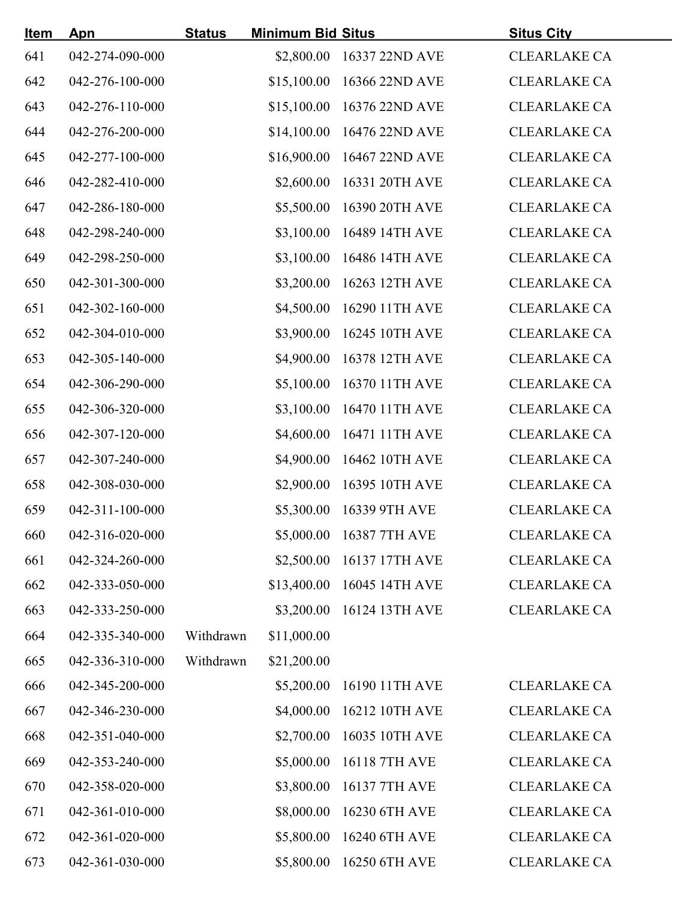| <u>Item</u> | Apn             | <b>Status</b> | <b>Minimum Bid Situs</b> |                            | <b>Situs City</b>   |  |
|-------------|-----------------|---------------|--------------------------|----------------------------|---------------------|--|
| 641         | 042-274-090-000 |               |                          | \$2,800.00 16337 22ND AVE  | <b>CLEARLAKE CA</b> |  |
| 642         | 042-276-100-000 |               |                          | \$15,100.00 16366 22ND AVE | <b>CLEARLAKE CA</b> |  |
| 643         | 042-276-110-000 |               |                          | \$15,100.00 16376 22ND AVE | <b>CLEARLAKE CA</b> |  |
| 644         | 042-276-200-000 |               |                          | \$14,100.00 16476 22ND AVE | <b>CLEARLAKE CA</b> |  |
| 645         | 042-277-100-000 |               |                          | \$16,900.00 16467 22ND AVE | <b>CLEARLAKE CA</b> |  |
| 646         | 042-282-410-000 |               |                          | \$2,600.00 16331 20TH AVE  | <b>CLEARLAKE CA</b> |  |
| 647         | 042-286-180-000 |               |                          | \$5,500.00 16390 20TH AVE  | <b>CLEARLAKE CA</b> |  |
| 648         | 042-298-240-000 |               |                          | \$3,100.00 16489 14TH AVE  | <b>CLEARLAKE CA</b> |  |
| 649         | 042-298-250-000 |               |                          | \$3,100.00 16486 14TH AVE  | <b>CLEARLAKE CA</b> |  |
| 650         | 042-301-300-000 |               |                          | \$3,200.00 16263 12TH AVE  | <b>CLEARLAKE CA</b> |  |
| 651         | 042-302-160-000 |               |                          | \$4,500.00 16290 11TH AVE  | <b>CLEARLAKE CA</b> |  |
| 652         | 042-304-010-000 |               |                          | \$3,900.00 16245 10TH AVE  | <b>CLEARLAKE CA</b> |  |
| 653         | 042-305-140-000 |               |                          | \$4,900.00 16378 12TH AVE  | <b>CLEARLAKE CA</b> |  |
| 654         | 042-306-290-000 |               |                          | \$5,100.00 16370 11TH AVE  | <b>CLEARLAKE CA</b> |  |
| 655         | 042-306-320-000 |               |                          | \$3,100.00 16470 11TH AVE  | <b>CLEARLAKE CA</b> |  |
| 656         | 042-307-120-000 |               |                          | \$4,600.00 16471 11TH AVE  | <b>CLEARLAKE CA</b> |  |
| 657         | 042-307-240-000 |               |                          | \$4,900.00 16462 10TH AVE  | <b>CLEARLAKE CA</b> |  |
| 658         | 042-308-030-000 |               |                          | \$2,900.00 16395 10TH AVE  | <b>CLEARLAKE CA</b> |  |
| 659         | 042-311-100-000 |               |                          | \$5,300.00 16339 9TH AVE   | <b>CLEARLAKE CA</b> |  |
| 660         | 042-316-020-000 |               |                          | \$5,000.00 16387 7TH AVE   | <b>CLEARLAKE CA</b> |  |
| 661         | 042-324-260-000 |               |                          | \$2,500.00 16137 17TH AVE  | <b>CLEARLAKE CA</b> |  |
| 662         | 042-333-050-000 |               |                          | \$13,400.00 16045 14TH AVE | <b>CLEARLAKE CA</b> |  |
| 663         | 042-333-250-000 |               |                          | \$3,200.00 16124 13TH AVE  | <b>CLEARLAKE CA</b> |  |
| 664         | 042-335-340-000 | Withdrawn     | \$11,000.00              |                            |                     |  |
| 665         | 042-336-310-000 | Withdrawn     | \$21,200.00              |                            |                     |  |
| 666         | 042-345-200-000 |               |                          | \$5,200.00 16190 11TH AVE  | <b>CLEARLAKE CA</b> |  |
| 667         | 042-346-230-000 |               |                          | \$4,000.00 16212 10TH AVE  | <b>CLEARLAKE CA</b> |  |
| 668         | 042-351-040-000 |               |                          | \$2,700.00 16035 10TH AVE  | <b>CLEARLAKE CA</b> |  |
| 669         | 042-353-240-000 |               |                          | \$5,000.00 16118 7TH AVE   | <b>CLEARLAKE CA</b> |  |
| 670         | 042-358-020-000 |               |                          | \$3,800.00 16137 7TH AVE   | <b>CLEARLAKE CA</b> |  |
| 671         | 042-361-010-000 |               |                          | \$8,000.00 16230 6TH AVE   | <b>CLEARLAKE CA</b> |  |
| 672         | 042-361-020-000 |               |                          | \$5,800.00 16240 6TH AVE   | <b>CLEARLAKE CA</b> |  |
| 673         | 042-361-030-000 |               |                          | \$5,800.00 16250 6TH AVE   | <b>CLEARLAKE CA</b> |  |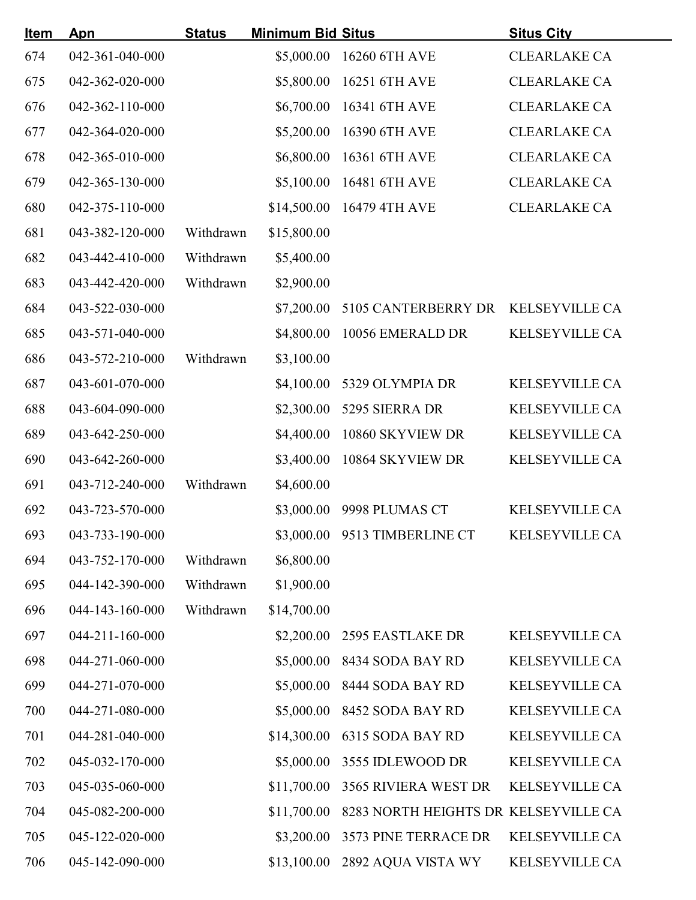| <u>Item</u> | Apn             | <b>Status</b> | <b>Minimum Bid Situs</b> |                                      | <b>Situs City</b>     |
|-------------|-----------------|---------------|--------------------------|--------------------------------------|-----------------------|
| 674         | 042-361-040-000 |               |                          | \$5,000.00 16260 6TH AVE             | <b>CLEARLAKE CA</b>   |
| 675         | 042-362-020-000 |               |                          | \$5,800.00 16251 6TH AVE             | <b>CLEARLAKE CA</b>   |
| 676         | 042-362-110-000 |               | \$6,700.00               | 16341 6TH AVE                        | <b>CLEARLAKE CA</b>   |
| 677         | 042-364-020-000 |               | \$5,200.00               | 16390 6TH AVE                        | <b>CLEARLAKE CA</b>   |
| 678         | 042-365-010-000 |               | \$6,800.00               | 16361 6TH AVE                        | <b>CLEARLAKE CA</b>   |
| 679         | 042-365-130-000 |               |                          | \$5,100.00 16481 6TH AVE             | <b>CLEARLAKE CA</b>   |
| 680         | 042-375-110-000 |               |                          | \$14,500.00 16479 4TH AVE            | <b>CLEARLAKE CA</b>   |
| 681         | 043-382-120-000 | Withdrawn     | \$15,800.00              |                                      |                       |
| 682         | 043-442-410-000 | Withdrawn     | \$5,400.00               |                                      |                       |
| 683         | 043-442-420-000 | Withdrawn     | \$2,900.00               |                                      |                       |
| 684         | 043-522-030-000 |               | \$7,200.00               | 5105 CANTERBERRY DR KELSEYVILLE CA   |                       |
| 685         | 043-571-040-000 |               | \$4,800.00               | 10056 EMERALD DR                     | KELSEYVILLE CA        |
| 686         | 043-572-210-000 | Withdrawn     | \$3,100.00               |                                      |                       |
| 687         | 043-601-070-000 |               |                          | \$4,100.00 5329 OLYMPIA DR           | <b>KELSEYVILLE CA</b> |
| 688         | 043-604-090-000 |               |                          | \$2,300.00 5295 SIERRA DR            | KELSEYVILLE CA        |
| 689         | 043-642-250-000 |               | \$4,400.00               | 10860 SKYVIEW DR                     | KELSEYVILLE CA        |
| 690         | 043-642-260-000 |               | \$3,400.00               | 10864 SKYVIEW DR                     | <b>KELSEYVILLE CA</b> |
| 691         | 043-712-240-000 | Withdrawn     | \$4,600.00               |                                      |                       |
| 692         | 043-723-570-000 |               |                          | \$3,000.00 9998 PLUMAS CT            | <b>KELSEYVILLE CA</b> |
| 693         | 043-733-190-000 |               |                          | \$3,000.00 9513 TIMBERLINE CT        | <b>KELSEYVILLE CA</b> |
| 694         | 043-752-170-000 | Withdrawn     | \$6,800.00               |                                      |                       |
| 695         | 044-142-390-000 | Withdrawn     | \$1,900.00               |                                      |                       |
| 696         | 044-143-160-000 | Withdrawn     | \$14,700.00              |                                      |                       |
| 697         | 044-211-160-000 |               |                          | \$2,200.00 2595 EASTLAKE DR          | <b>KELSEYVILLE CA</b> |
| 698         | 044-271-060-000 |               | \$5,000.00               | 8434 SODA BAY RD                     | <b>KELSEYVILLE CA</b> |
| 699         | 044-271-070-000 |               | \$5,000.00               | 8444 SODA BAY RD                     | <b>KELSEYVILLE CA</b> |
| 700         | 044-271-080-000 |               | \$5,000.00               | 8452 SODA BAY RD                     | <b>KELSEYVILLE CA</b> |
| 701         | 044-281-040-000 |               | \$14,300.00              | 6315 SODA BAY RD                     | <b>KELSEYVILLE CA</b> |
| 702         | 045-032-170-000 |               | \$5,000.00               | 3555 IDLEWOOD DR                     | <b>KELSEYVILLE CA</b> |
| 703         | 045-035-060-000 |               | \$11,700.00              | <b>3565 RIVIERA WEST DR</b>          | <b>KELSEYVILLE CA</b> |
| 704         | 045-082-200-000 |               | \$11,700.00              | 8283 NORTH HEIGHTS DR KELSEYVILLE CA |                       |
| 705         | 045-122-020-000 |               | \$3,200.00               | 3573 PINE TERRACE DR                 | <b>KELSEYVILLE CA</b> |
| 706         | 045-142-090-000 |               | \$13,100.00              | 2892 AQUA VISTA WY                   | <b>KELSEYVILLE CA</b> |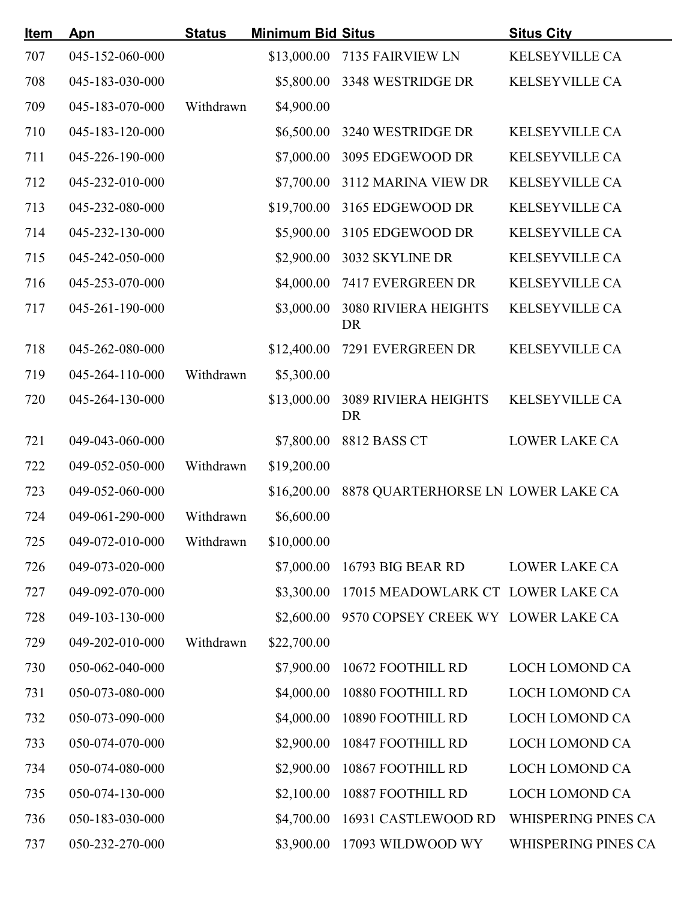| <u>Item</u> | Apn             | <b>Status</b> | <b>Minimum Bid Situs</b> |                                          | <b>Situs City</b>          |
|-------------|-----------------|---------------|--------------------------|------------------------------------------|----------------------------|
| 707         | 045-152-060-000 |               |                          | \$13,000.00 7135 FAIRVIEW LN             | KELSEYVILLE CA             |
| 708         | 045-183-030-000 |               | \$5,800.00               | 3348 WESTRIDGE DR                        | KELSEYVILLE CA             |
| 709         | 045-183-070-000 | Withdrawn     | \$4,900.00               |                                          |                            |
| 710         | 045-183-120-000 |               | \$6,500.00               | 3240 WESTRIDGE DR                        | <b>KELSEYVILLE CA</b>      |
| 711         | 045-226-190-000 |               | \$7,000.00               | 3095 EDGEWOOD DR                         | <b>KELSEYVILLE CA</b>      |
| 712         | 045-232-010-000 |               |                          | \$7,700.00 3112 MARINA VIEW DR           | <b>KELSEYVILLE CA</b>      |
| 713         | 045-232-080-000 |               |                          | \$19,700.00 3165 EDGEWOOD DR             | KELSEYVILLE CA             |
| 714         | 045-232-130-000 |               | \$5,900.00               | 3105 EDGEWOOD DR                         | KELSEYVILLE CA             |
| 715         | 045-242-050-000 |               | \$2,900.00               | 3032 SKYLINE DR                          | <b>KELSEYVILLE CA</b>      |
| 716         | 045-253-070-000 |               | \$4,000.00               | 7417 EVERGREEN DR                        | <b>KELSEYVILLE CA</b>      |
| 717         | 045-261-190-000 |               | \$3,000.00               | <b>3080 RIVIERA HEIGHTS</b><br><b>DR</b> | <b>KELSEYVILLE CA</b>      |
| 718         | 045-262-080-000 |               | \$12,400.00              | 7291 EVERGREEN DR                        | <b>KELSEYVILLE CA</b>      |
| 719         | 045-264-110-000 | Withdrawn     | \$5,300.00               |                                          |                            |
| 720         | 045-264-130-000 |               | \$13,000.00              | <b>3089 RIVIERA HEIGHTS</b><br><b>DR</b> | <b>KELSEYVILLE CA</b>      |
| 721         | 049-043-060-000 |               | \$7,800.00               | 8812 BASS CT                             | <b>LOWER LAKE CA</b>       |
| 722         | 049-052-050-000 | Withdrawn     | \$19,200.00              |                                          |                            |
| 723         | 049-052-060-000 |               | \$16,200.00              | 8878 QUARTERHORSE LN LOWER LAKE CA       |                            |
| 724         | 049-061-290-000 | Withdrawn     | \$6,600.00               |                                          |                            |
| 725         | 049-072-010-000 | Withdrawn     | \$10,000.00              |                                          |                            |
| 726         | 049-073-020-000 |               | \$7,000.00               | 16793 BIG BEAR RD                        | LOWER LAKE CA              |
| 727         | 049-092-070-000 |               | \$3,300.00               | 17015 MEADOWLARK CT LOWER LAKE CA        |                            |
| 728         | 049-103-130-000 |               | \$2,600.00               | 9570 COPSEY CREEK WY LOWER LAKE CA       |                            |
| 729         | 049-202-010-000 | Withdrawn     | \$22,700.00              |                                          |                            |
| 730         | 050-062-040-000 |               | \$7,900.00               | 10672 FOOTHILL RD                        | <b>LOCH LOMOND CA</b>      |
| 731         | 050-073-080-000 |               | \$4,000.00               | 10880 FOOTHILL RD                        | <b>LOCH LOMOND CA</b>      |
| 732         | 050-073-090-000 |               | \$4,000.00               | 10890 FOOTHILL RD                        | LOCH LOMOND CA             |
| 733         | 050-074-070-000 |               | \$2,900.00               | 10847 FOOTHILL RD                        | <b>LOCH LOMOND CA</b>      |
| 734         | 050-074-080-000 |               | \$2,900.00               | 10867 FOOTHILL RD                        | LOCH LOMOND CA             |
| 735         | 050-074-130-000 |               | \$2,100.00               | 10887 FOOTHILL RD                        | <b>LOCH LOMOND CA</b>      |
| 736         | 050-183-030-000 |               | \$4,700.00               | 16931 CASTLEWOOD RD                      | <b>WHISPERING PINES CA</b> |
| 737         | 050-232-270-000 |               | \$3,900.00               | 17093 WILDWOOD WY                        | WHISPERING PINES CA        |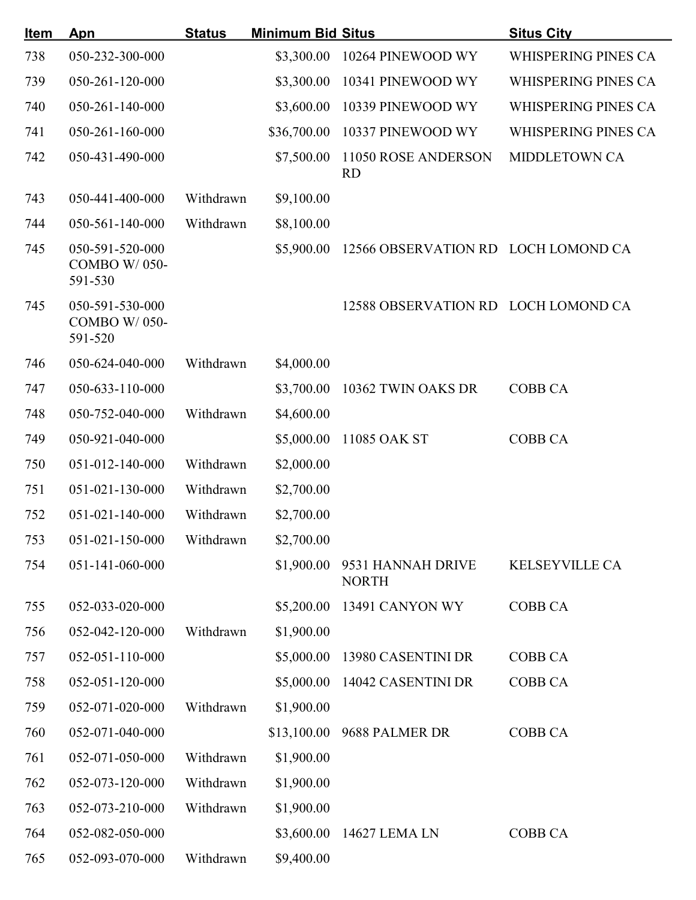| <u>Item</u> | Apn                                               | <b>Status</b> | <b>Minimum Bid Situs</b> |                                     | <b>Situs City</b>          |
|-------------|---------------------------------------------------|---------------|--------------------------|-------------------------------------|----------------------------|
| 738         | 050-232-300-000                                   |               | \$3,300.00               | 10264 PINEWOOD WY                   | WHISPERING PINES CA        |
| 739         | 050-261-120-000                                   |               | \$3,300.00               | 10341 PINEWOOD WY                   | WHISPERING PINES CA        |
| 740         | 050-261-140-000                                   |               | \$3,600.00               | 10339 PINEWOOD WY                   | WHISPERING PINES CA        |
| 741         | 050-261-160-000                                   |               | \$36,700.00              | 10337 PINEWOOD WY                   | <b>WHISPERING PINES CA</b> |
| 742         | 050-431-490-000                                   |               | \$7,500.00               | 11050 ROSE ANDERSON<br><b>RD</b>    | <b>MIDDLETOWN CA</b>       |
| 743         | 050-441-400-000                                   | Withdrawn     | \$9,100.00               |                                     |                            |
| 744         | 050-561-140-000                                   | Withdrawn     | \$8,100.00               |                                     |                            |
| 745         | 050-591-520-000<br><b>COMBO W/050-</b><br>591-530 |               | \$5,900.00               | 12566 OBSERVATION RD LOCH LOMOND CA |                            |
| 745         | 050-591-530-000<br><b>COMBO W/050-</b><br>591-520 |               |                          | 12588 OBSERVATION RD LOCH LOMOND CA |                            |
| 746         | 050-624-040-000                                   | Withdrawn     | \$4,000.00               |                                     |                            |
| 747         | 050-633-110-000                                   |               | \$3,700.00               | 10362 TWIN OAKS DR                  | <b>COBB CA</b>             |
| 748         | 050-752-040-000                                   | Withdrawn     | \$4,600.00               |                                     |                            |
| 749         | 050-921-040-000                                   |               | \$5,000.00               | 11085 OAK ST                        | <b>COBB CA</b>             |
| 750         | 051-012-140-000                                   | Withdrawn     | \$2,000.00               |                                     |                            |
| 751         | 051-021-130-000                                   | Withdrawn     | \$2,700.00               |                                     |                            |
| 752         | $051 - 021 - 140 - 000$                           | Withdrawn     | \$2,700.00               |                                     |                            |
| 753         | 051-021-150-000                                   | Withdrawn     | \$2,700.00               |                                     |                            |
| 754         | 051-141-060-000                                   |               | \$1,900.00               | 9531 HANNAH DRIVE<br><b>NORTH</b>   | <b>KELSEYVILLE CA</b>      |
| 755         | 052-033-020-000                                   |               | \$5,200.00               | 13491 CANYON WY                     | <b>COBB CA</b>             |
| 756         | 052-042-120-000                                   | Withdrawn     | \$1,900.00               |                                     |                            |
| 757         | 052-051-110-000                                   |               | \$5,000.00               | 13980 CASENTINI DR                  | <b>COBB CA</b>             |
| 758         | 052-051-120-000                                   |               |                          | \$5,000.00 14042 CASENTINI DR       | <b>COBB CA</b>             |
| 759         | 052-071-020-000                                   | Withdrawn     | \$1,900.00               |                                     |                            |
| 760         | 052-071-040-000                                   |               |                          | \$13,100.00 9688 PALMER DR          | <b>COBB CA</b>             |
| 761         | 052-071-050-000                                   | Withdrawn     | \$1,900.00               |                                     |                            |
| 762         | 052-073-120-000                                   | Withdrawn     | \$1,900.00               |                                     |                            |
| 763         | 052-073-210-000                                   | Withdrawn     | \$1,900.00               |                                     |                            |
| 764         | 052-082-050-000                                   |               | \$3,600.00               | 14627 LEMA LN                       | <b>COBB CA</b>             |
| 765         | 052-093-070-000                                   | Withdrawn     | \$9,400.00               |                                     |                            |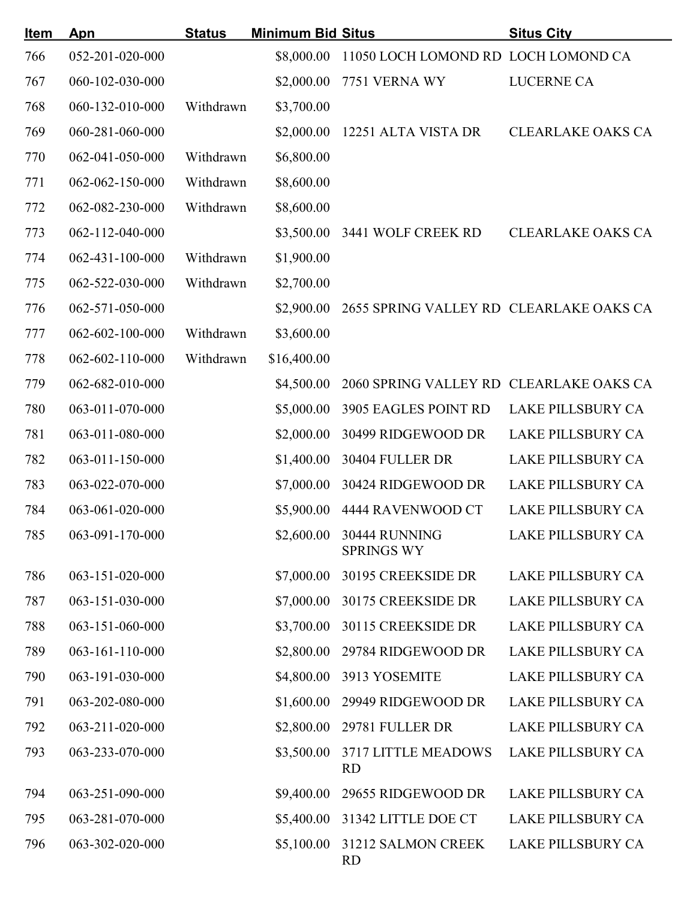| <u>Item</u> | <b>Apn</b>              | <b>Status</b> | <b>Minimum Bid Situs</b> |                                               | <b>Situs City</b>        |
|-------------|-------------------------|---------------|--------------------------|-----------------------------------------------|--------------------------|
| 766         | 052-201-020-000         |               | \$8,000.00               | 11050 LOCH LOMOND RD LOCH LOMOND CA           |                          |
| 767         | 060-102-030-000         |               | \$2,000.00               | 7751 VERNA WY                                 | <b>LUCERNE CA</b>        |
| 768         | 060-132-010-000         | Withdrawn     | \$3,700.00               |                                               |                          |
| 769         | 060-281-060-000         |               | \$2,000.00               | 12251 ALTA VISTA DR                           | <b>CLEARLAKE OAKS CA</b> |
| 770         | 062-041-050-000         | Withdrawn     | \$6,800.00               |                                               |                          |
| 771         | 062-062-150-000         | Withdrawn     | \$8,600.00               |                                               |                          |
| 772         | 062-082-230-000         | Withdrawn     | \$8,600.00               |                                               |                          |
| 773         | 062-112-040-000         |               | \$3,500.00               | 3441 WOLF CREEK RD                            | <b>CLEARLAKE OAKS CA</b> |
| 774         | $062 - 431 - 100 - 000$ | Withdrawn     | \$1,900.00               |                                               |                          |
| 775         | 062-522-030-000         | Withdrawn     | \$2,700.00               |                                               |                          |
| 776         | 062-571-050-000         |               | \$2,900.00               | 2655 SPRING VALLEY RD CLEARLAKE OAKS CA       |                          |
| 777         | $062 - 602 - 100 - 000$ | Withdrawn     | \$3,600.00               |                                               |                          |
| 778         | $062 - 602 - 110 - 000$ | Withdrawn     | \$16,400.00              |                                               |                          |
| 779         | 062-682-010-000         |               | \$4,500.00               | 2060 SPRING VALLEY RD CLEARLAKE OAKS CA       |                          |
| 780         | 063-011-070-000         |               | \$5,000.00               | 3905 EAGLES POINT RD                          | <b>LAKE PILLSBURY CA</b> |
| 781         | 063-011-080-000         |               | \$2,000.00               | 30499 RIDGEWOOD DR                            | <b>LAKE PILLSBURY CA</b> |
| 782         | 063-011-150-000         |               | \$1,400.00               | 30404 FULLER DR                               | <b>LAKE PILLSBURY CA</b> |
| 783         | 063-022-070-000         |               | \$7,000.00               | 30424 RIDGEWOOD DR                            | <b>LAKE PILLSBURY CA</b> |
| 784         | 063-061-020-000         |               |                          | \$5,900.00 4444 RAVENWOOD CT                  | <b>LAKE PILLSBURY CA</b> |
| 785         | 063-091-170-000         |               |                          | \$2,600.00 30444 RUNNING<br><b>SPRINGS WY</b> | <b>LAKE PILLSBURY CA</b> |
| 786         | 063-151-020-000         |               | \$7,000.00               | 30195 CREEKSIDE DR                            | <b>LAKE PILLSBURY CA</b> |
| 787         | 063-151-030-000         |               | \$7,000.00               | 30175 CREEKSIDE DR                            | <b>LAKE PILLSBURY CA</b> |
| 788         | 063-151-060-000         |               | \$3,700.00               | 30115 CREEKSIDE DR                            | LAKE PILLSBURY CA        |
| 789         | $063 - 161 - 110 - 000$ |               | \$2,800.00               | 29784 RIDGEWOOD DR                            | LAKE PILLSBURY CA        |
| 790         | 063-191-030-000         |               | \$4,800.00               | 3913 YOSEMITE                                 | LAKE PILLSBURY CA        |
| 791         | 063-202-080-000         |               | \$1,600.00               | 29949 RIDGEWOOD DR                            | <b>LAKE PILLSBURY CA</b> |
| 792         | 063-211-020-000         |               | \$2,800.00               | 29781 FULLER DR                               | <b>LAKE PILLSBURY CA</b> |
| 793         | 063-233-070-000         |               | \$3,500.00               | 3717 LITTLE MEADOWS<br><b>RD</b>              | <b>LAKE PILLSBURY CA</b> |
| 794         | 063-251-090-000         |               | \$9,400.00               | 29655 RIDGEWOOD DR                            | <b>LAKE PILLSBURY CA</b> |
| 795         | 063-281-070-000         |               | \$5,400.00               | 31342 LITTLE DOE CT                           | <b>LAKE PILLSBURY CA</b> |
| 796         | 063-302-020-000         |               | \$5,100.00               | 31212 SALMON CREEK<br>RD                      | <b>LAKE PILLSBURY CA</b> |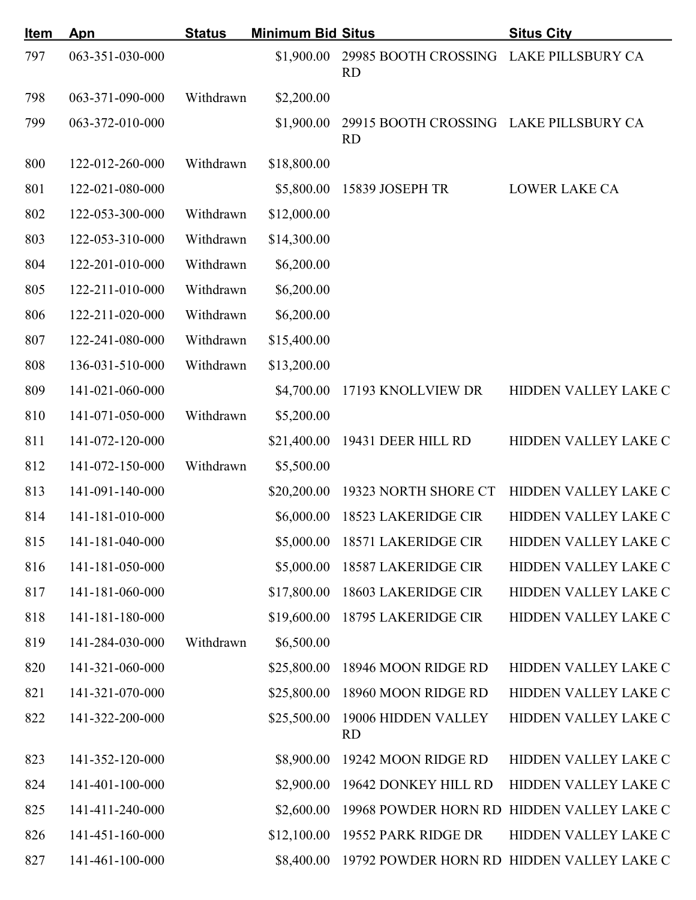| <u>Item</u> | Apn             | <b>Status</b> | <b>Minimum Bid Situs</b> |                                                     | <b>Situs City</b>                         |
|-------------|-----------------|---------------|--------------------------|-----------------------------------------------------|-------------------------------------------|
| 797         | 063-351-030-000 |               | \$1,900.00               | 29985 BOOTH CROSSING LAKE PILLSBURY CA<br><b>RD</b> |                                           |
| 798         | 063-371-090-000 | Withdrawn     | \$2,200.00               |                                                     |                                           |
| 799         | 063-372-010-000 |               | \$1,900.00               | 29915 BOOTH CROSSING LAKE PILLSBURY CA<br><b>RD</b> |                                           |
| 800         | 122-012-260-000 | Withdrawn     | \$18,800.00              |                                                     |                                           |
| 801         | 122-021-080-000 |               | \$5,800.00               | 15839 JOSEPH TR                                     | <b>LOWER LAKE CA</b>                      |
| 802         | 122-053-300-000 | Withdrawn     | \$12,000.00              |                                                     |                                           |
| 803         | 122-053-310-000 | Withdrawn     | \$14,300.00              |                                                     |                                           |
| 804         | 122-201-010-000 | Withdrawn     | \$6,200.00               |                                                     |                                           |
| 805         | 122-211-010-000 | Withdrawn     | \$6,200.00               |                                                     |                                           |
| 806         | 122-211-020-000 | Withdrawn     | \$6,200.00               |                                                     |                                           |
| 807         | 122-241-080-000 | Withdrawn     | \$15,400.00              |                                                     |                                           |
| 808         | 136-031-510-000 | Withdrawn     | \$13,200.00              |                                                     |                                           |
| 809         | 141-021-060-000 |               | \$4,700.00               | 17193 KNOLLVIEW DR                                  | HIDDEN VALLEY LAKE C                      |
| 810         | 141-071-050-000 | Withdrawn     | \$5,200.00               |                                                     |                                           |
| 811         | 141-072-120-000 |               | \$21,400.00              | 19431 DEER HILL RD                                  | HIDDEN VALLEY LAKE C                      |
| 812         | 141-072-150-000 | Withdrawn     | \$5,500.00               |                                                     |                                           |
| 813         | 141-091-140-000 |               | \$20,200.00              | 19323 NORTH SHORE CT                                | HIDDEN VALLEY LAKE C                      |
| 814         | 141-181-010-000 |               | \$6,000.00               | <b>18523 LAKERIDGE CIR</b>                          | HIDDEN VALLEY LAKE C                      |
| 815         | 141-181-040-000 |               | \$5,000.00               | <b>18571 LAKERIDGE CIR</b>                          | HIDDEN VALLEY LAKE C                      |
| 816         | 141-181-050-000 |               | \$5,000.00               | <b>18587 LAKERIDGE CIR</b>                          | HIDDEN VALLEY LAKE C                      |
| 817         | 141-181-060-000 |               | \$17,800.00              | 18603 LAKERIDGE CIR                                 | HIDDEN VALLEY LAKE C                      |
| 818         | 141-181-180-000 |               | \$19,600.00              | <b>18795 LAKERIDGE CIR</b>                          | HIDDEN VALLEY LAKE C                      |
| 819         | 141-284-030-000 | Withdrawn     | \$6,500.00               |                                                     |                                           |
| 820         | 141-321-060-000 |               | \$25,800.00              | 18946 MOON RIDGE RD                                 | HIDDEN VALLEY LAKE C                      |
| 821         | 141-321-070-000 |               | \$25,800.00              | 18960 MOON RIDGE RD                                 | HIDDEN VALLEY LAKE C                      |
| 822         | 141-322-200-000 |               | \$25,500.00              | 19006 HIDDEN VALLEY<br><b>RD</b>                    | HIDDEN VALLEY LAKE C                      |
| 823         | 141-352-120-000 |               | \$8,900.00               | 19242 MOON RIDGE RD                                 | HIDDEN VALLEY LAKE C                      |
| 824         | 141-401-100-000 |               | \$2,900.00               | 19642 DONKEY HILL RD                                | HIDDEN VALLEY LAKE C                      |
| 825         | 141-411-240-000 |               | \$2,600.00               |                                                     | 19968 POWDER HORN RD HIDDEN VALLEY LAKE C |
| 826         | 141-451-160-000 |               | \$12,100.00              | 19552 PARK RIDGE DR                                 | HIDDEN VALLEY LAKE C                      |
| 827         | 141-461-100-000 |               | \$8,400.00               |                                                     | 19792 POWDER HORN RD HIDDEN VALLEY LAKE C |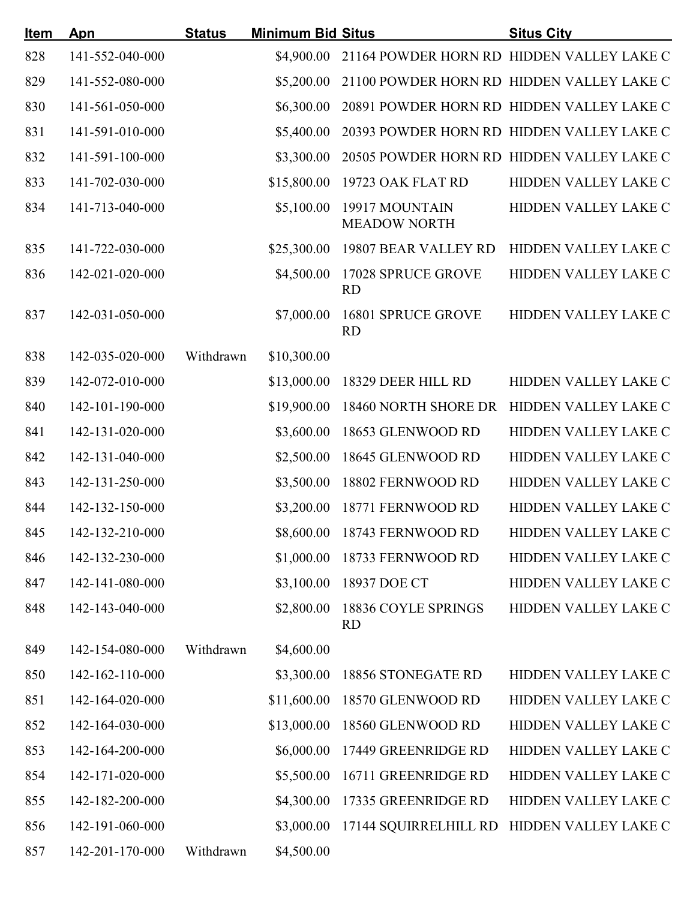| Item | Apn             | <b>Status</b> | <b>Minimum Bid Situs</b> |                                       | <b>Situs City</b>                         |
|------|-----------------|---------------|--------------------------|---------------------------------------|-------------------------------------------|
| 828  | 141-552-040-000 |               | \$4,900.00               |                                       | 21164 POWDER HORN RD HIDDEN VALLEY LAKE C |
| 829  | 141-552-080-000 |               | \$5,200.00               |                                       | 21100 POWDER HORN RD HIDDEN VALLEY LAKE C |
| 830  | 141-561-050-000 |               | \$6,300.00               |                                       | 20891 POWDER HORN RD HIDDEN VALLEY LAKE C |
| 831  | 141-591-010-000 |               | \$5,400.00               |                                       | 20393 POWDER HORN RD HIDDEN VALLEY LAKE C |
| 832  | 141-591-100-000 |               | \$3,300.00               |                                       | 20505 POWDER HORN RD HIDDEN VALLEY LAKE C |
| 833  | 141-702-030-000 |               | \$15,800.00              | 19723 OAK FLAT RD                     | HIDDEN VALLEY LAKE C                      |
| 834  | 141-713-040-000 |               | \$5,100.00               | 19917 MOUNTAIN<br><b>MEADOW NORTH</b> | HIDDEN VALLEY LAKE C                      |
| 835  | 141-722-030-000 |               | \$25,300.00              | 19807 BEAR VALLEY RD                  | HIDDEN VALLEY LAKE C                      |
| 836  | 142-021-020-000 |               | \$4,500.00               | 17028 SPRUCE GROVE<br><b>RD</b>       | HIDDEN VALLEY LAKE C                      |
| 837  | 142-031-050-000 |               | \$7,000.00               | 16801 SPRUCE GROVE<br><b>RD</b>       | HIDDEN VALLEY LAKE C                      |
| 838  | 142-035-020-000 | Withdrawn     | \$10,300.00              |                                       |                                           |
| 839  | 142-072-010-000 |               | \$13,000.00              | 18329 DEER HILL RD                    | HIDDEN VALLEY LAKE C                      |
| 840  | 142-101-190-000 |               | \$19,900.00              | 18460 NORTH SHORE DR                  | HIDDEN VALLEY LAKE C                      |
| 841  | 142-131-020-000 |               | \$3,600.00               | 18653 GLENWOOD RD                     | HIDDEN VALLEY LAKE C                      |
| 842  | 142-131-040-000 |               | \$2,500.00               | 18645 GLENWOOD RD                     | HIDDEN VALLEY LAKE C                      |
| 843  | 142-131-250-000 |               | \$3,500.00               | 18802 FERNWOOD RD                     | HIDDEN VALLEY LAKE C                      |
| 844  | 142-132-150-000 |               | \$3,200.00               | 18771 FERNWOOD RD                     | HIDDEN VALLEY LAKE C                      |
| 845  | 142-132-210-000 |               |                          | \$8,600.00 18743 FERNWOOD RD          | HIDDEN VALLEY LAKE C                      |
| 846  | 142-132-230-000 |               | \$1,000.00               | 18733 FERNWOOD RD                     | HIDDEN VALLEY LAKE C                      |
| 847  | 142-141-080-000 |               | \$3,100.00               | 18937 DOE CT                          | HIDDEN VALLEY LAKE C                      |
| 848  | 142-143-040-000 |               | \$2,800.00               | 18836 COYLE SPRINGS<br><b>RD</b>      | HIDDEN VALLEY LAKE C                      |
| 849  | 142-154-080-000 | Withdrawn     | \$4,600.00               |                                       |                                           |
| 850  | 142-162-110-000 |               | \$3,300.00               | 18856 STONEGATE RD                    | HIDDEN VALLEY LAKE C                      |
| 851  | 142-164-020-000 |               | \$11,600.00              | 18570 GLENWOOD RD                     | HIDDEN VALLEY LAKE C                      |
| 852  | 142-164-030-000 |               | \$13,000.00              | 18560 GLENWOOD RD                     | HIDDEN VALLEY LAKE C                      |
| 853  | 142-164-200-000 |               | \$6,000.00               | 17449 GREENRIDGE RD                   | HIDDEN VALLEY LAKE C                      |
| 854  | 142-171-020-000 |               | \$5,500.00               | 16711 GREENRIDGE RD                   | HIDDEN VALLEY LAKE C                      |
| 855  | 142-182-200-000 |               | \$4,300.00               | 17335 GREENRIDGE RD                   | HIDDEN VALLEY LAKE C                      |
| 856  | 142-191-060-000 |               | \$3,000.00               | 17144 SQUIRRELHILL RD                 | HIDDEN VALLEY LAKE C                      |
| 857  | 142-201-170-000 | Withdrawn     | \$4,500.00               |                                       |                                           |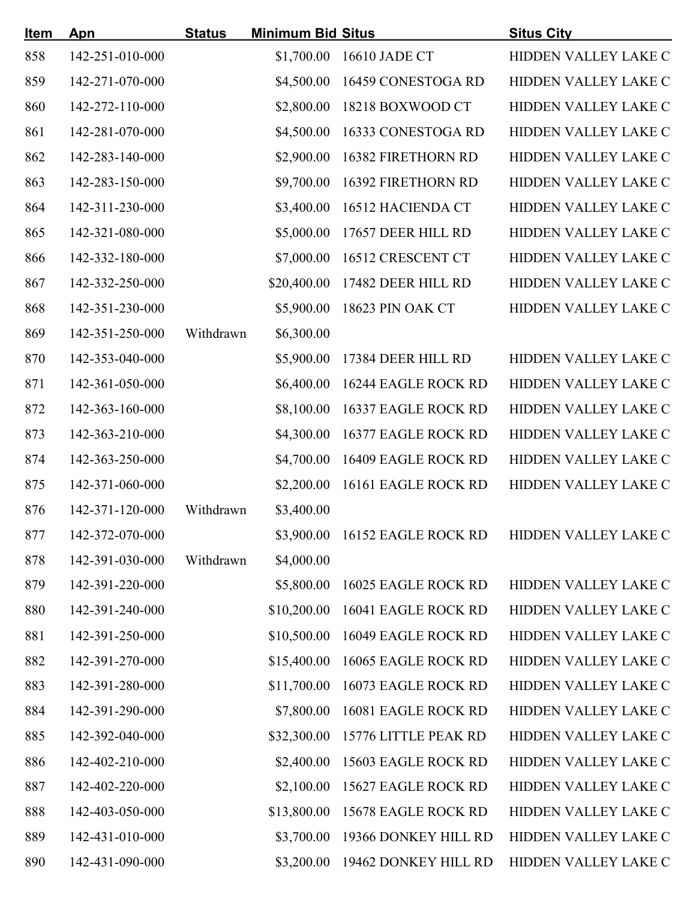| <u>Item</u> | Apn             | <b>Status</b> | <b>Minimum Bid Situs</b> |                           | <b>Situs City</b>    |
|-------------|-----------------|---------------|--------------------------|---------------------------|----------------------|
| 858         | 142-251-010-000 |               | \$1,700.00               | 16610 JADE CT             | HIDDEN VALLEY LAKE C |
| 859         | 142-271-070-000 |               | \$4,500.00               | 16459 CONESTOGA RD        | HIDDEN VALLEY LAKE C |
| 860         | 142-272-110-000 |               | \$2,800.00               | 18218 BOXWOOD CT          | HIDDEN VALLEY LAKE C |
| 861         | 142-281-070-000 |               | \$4,500.00               | 16333 CONESTOGA RD        | HIDDEN VALLEY LAKE C |
| 862         | 142-283-140-000 |               | \$2,900.00               | <b>16382 FIRETHORN RD</b> | HIDDEN VALLEY LAKE C |
| 863         | 142-283-150-000 |               | \$9,700.00               | 16392 FIRETHORN RD        | HIDDEN VALLEY LAKE C |
| 864         | 142-311-230-000 |               | \$3,400.00               | 16512 HACIENDA CT         | HIDDEN VALLEY LAKE C |
| 865         | 142-321-080-000 |               | \$5,000.00               | 17657 DEER HILL RD        | HIDDEN VALLEY LAKE C |
| 866         | 142-332-180-000 |               | \$7,000.00               | 16512 CRESCENT CT         | HIDDEN VALLEY LAKE C |
| 867         | 142-332-250-000 |               | \$20,400.00              | 17482 DEER HILL RD        | HIDDEN VALLEY LAKE C |
| 868         | 142-351-230-000 |               | \$5,900.00               | 18623 PIN OAK CT          | HIDDEN VALLEY LAKE C |
| 869         | 142-351-250-000 | Withdrawn     | \$6,300.00               |                           |                      |
| 870         | 142-353-040-000 |               | \$5,900.00               | 17384 DEER HILL RD        | HIDDEN VALLEY LAKE C |
| 871         | 142-361-050-000 |               | \$6,400.00               | 16244 EAGLE ROCK RD       | HIDDEN VALLEY LAKE C |
| 872         | 142-363-160-000 |               | \$8,100.00               | 16337 EAGLE ROCK RD       | HIDDEN VALLEY LAKE C |
| 873         | 142-363-210-000 |               | \$4,300.00               | 16377 EAGLE ROCK RD       | HIDDEN VALLEY LAKE C |
| 874         | 142-363-250-000 |               | \$4,700.00               | 16409 EAGLE ROCK RD       | HIDDEN VALLEY LAKE C |
| 875         | 142-371-060-000 |               | \$2,200.00               | 16161 EAGLE ROCK RD       | HIDDEN VALLEY LAKE C |
| 876         | 142-371-120-000 | Withdrawn     | \$3,400.00               |                           |                      |
| 877         | 142-372-070-000 |               | \$3,900.00               | 16152 EAGLE ROCK RD       | HIDDEN VALLEY LAKE C |
| 878         | 142-391-030-000 | Withdrawn     | \$4,000.00               |                           |                      |
| 879         | 142-391-220-000 |               | \$5,800.00               | 16025 EAGLE ROCK RD       | HIDDEN VALLEY LAKE C |
| 880         | 142-391-240-000 |               | \$10,200.00              | 16041 EAGLE ROCK RD       | HIDDEN VALLEY LAKE C |
| 881         | 142-391-250-000 |               | \$10,500.00              | 16049 EAGLE ROCK RD       | HIDDEN VALLEY LAKE C |
| 882         | 142-391-270-000 |               | \$15,400.00              | 16065 EAGLE ROCK RD       | HIDDEN VALLEY LAKE C |
| 883         | 142-391-280-000 |               | \$11,700.00              | 16073 EAGLE ROCK RD       | HIDDEN VALLEY LAKE C |
| 884         | 142-391-290-000 |               | \$7,800.00               | 16081 EAGLE ROCK RD       | HIDDEN VALLEY LAKE C |
| 885         | 142-392-040-000 |               | \$32,300.00              | 15776 LITTLE PEAK RD      | HIDDEN VALLEY LAKE C |
| 886         | 142-402-210-000 |               | \$2,400.00               | 15603 EAGLE ROCK RD       | HIDDEN VALLEY LAKE C |
| 887         | 142-402-220-000 |               | \$2,100.00               | 15627 EAGLE ROCK RD       | HIDDEN VALLEY LAKE C |
| 888         | 142-403-050-000 |               | \$13,800.00              | 15678 EAGLE ROCK RD       | HIDDEN VALLEY LAKE C |
| 889         | 142-431-010-000 |               | \$3,700.00               | 19366 DONKEY HILL RD      | HIDDEN VALLEY LAKE C |
| 890         | 142-431-090-000 |               | \$3,200.00               | 19462 DONKEY HILL RD      | HIDDEN VALLEY LAKE C |